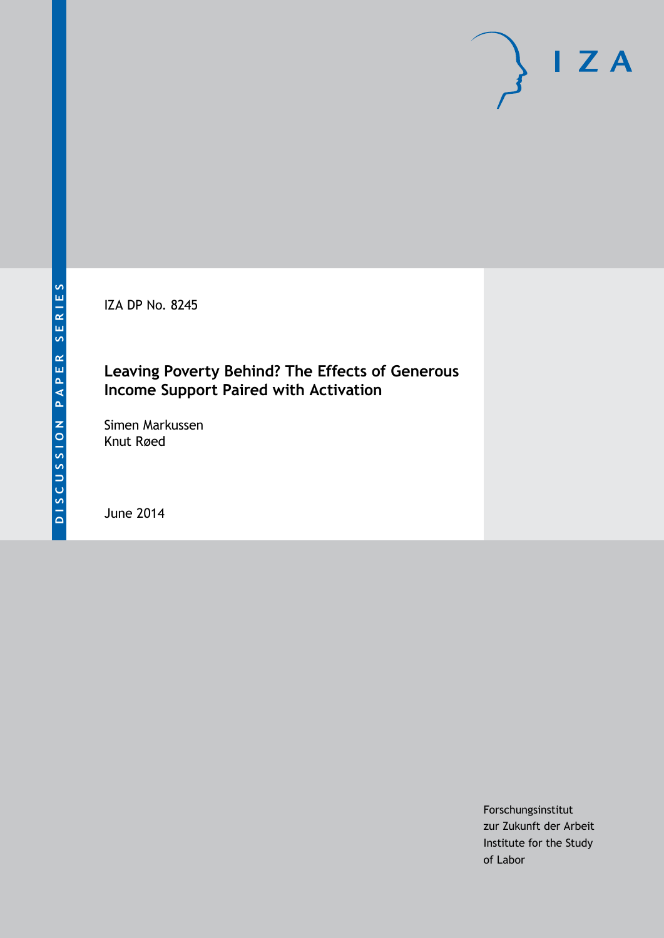IZA DP No. 8245

# **Leaving Poverty Behind? The Effects of Generous Income Support Paired with Activation**

Simen Markussen Knut Røed

June 2014

Forschungsinstitut zur Zukunft der Arbeit Institute for the Study of Labor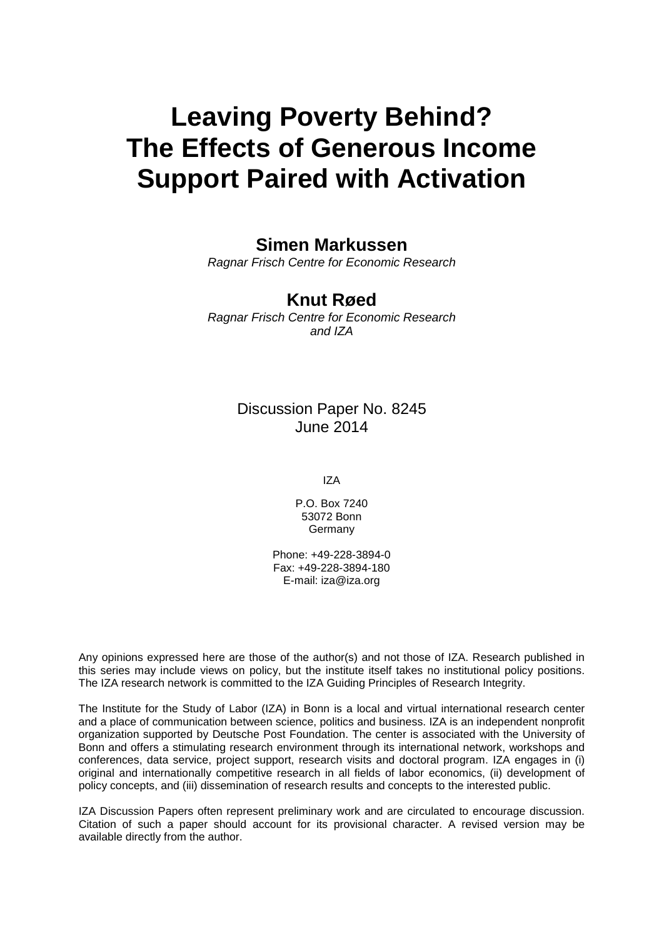# **Leaving Poverty Behind? The Effects of Generous Income Support Paired with Activation**

# **Simen Markussen**

*Ragnar Frisch Centre for Economic Research*

# **Knut Røed**

*Ragnar Frisch Centre for Economic Research and IZA*

## Discussion Paper No. 8245 June 2014

IZA

P.O. Box 7240 53072 Bonn **Germany** 

Phone: +49-228-3894-0 Fax: +49-228-3894-180 E-mail: [iza@iza.org](mailto:iza@iza.org)

Any opinions expressed here are those of the author(s) and not those of IZA. Research published in this series may include views on policy, but the institute itself takes no institutional policy positions. The IZA research network is committed to the IZA Guiding Principles of Research Integrity.

The Institute for the Study of Labor (IZA) in Bonn is a local and virtual international research center and a place of communication between science, politics and business. IZA is an independent nonprofit organization supported by Deutsche Post Foundation. The center is associated with the University of Bonn and offers a stimulating research environment through its international network, workshops and conferences, data service, project support, research visits and doctoral program. IZA engages in (i) original and internationally competitive research in all fields of labor economics, (ii) development of policy concepts, and (iii) dissemination of research results and concepts to the interested public.

<span id="page-1-0"></span>IZA Discussion Papers often represent preliminary work and are circulated to encourage discussion. Citation of such a paper should account for its provisional character. A revised version may be available directly from the author.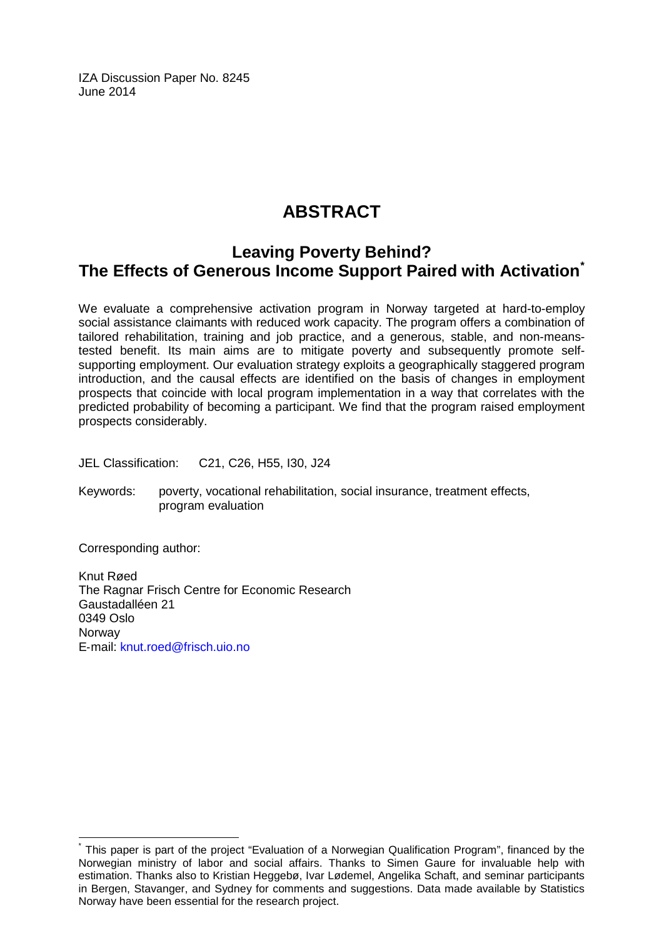IZA Discussion Paper No. 8245 June 2014

# **ABSTRACT**

# **Leaving Poverty Behind? The Effects of Generous Income Support Paired with Activation[\\*](#page-1-0)**

We evaluate a comprehensive activation program in Norway targeted at hard-to-employ social assistance claimants with reduced work capacity. The program offers a combination of tailored rehabilitation, training and job practice, and a generous, stable, and non-meanstested benefit. Its main aims are to mitigate poverty and subsequently promote selfsupporting employment. Our evaluation strategy exploits a geographically staggered program introduction, and the causal effects are identified on the basis of changes in employment prospects that coincide with local program implementation in a way that correlates with the predicted probability of becoming a participant. We find that the program raised employment prospects considerably.

JEL Classification: C21, C26, H55, I30, J24

Keywords: poverty, vocational rehabilitation, social insurance, treatment effects, program evaluation

Corresponding author:

Knut Røed The Ragnar Frisch Centre for Economic Research Gaustadalléen 21 0349 Oslo **Norway** E‐mail: [knut.roed@frisch.uio.no](mailto:knut.roed@frisch.uio.no)

This paper is part of the project "Evaluation of a Norwegian Qualification Program", financed by the Norwegian ministry of labor and social affairs. Thanks to Simen Gaure for invaluable help with estimation. Thanks also to Kristian Heggebø, Ivar Lødemel, Angelika Schaft, and seminar participants in Bergen, Stavanger, and Sydney for comments and suggestions. Data made available by Statistics Norway have been essential for the research project.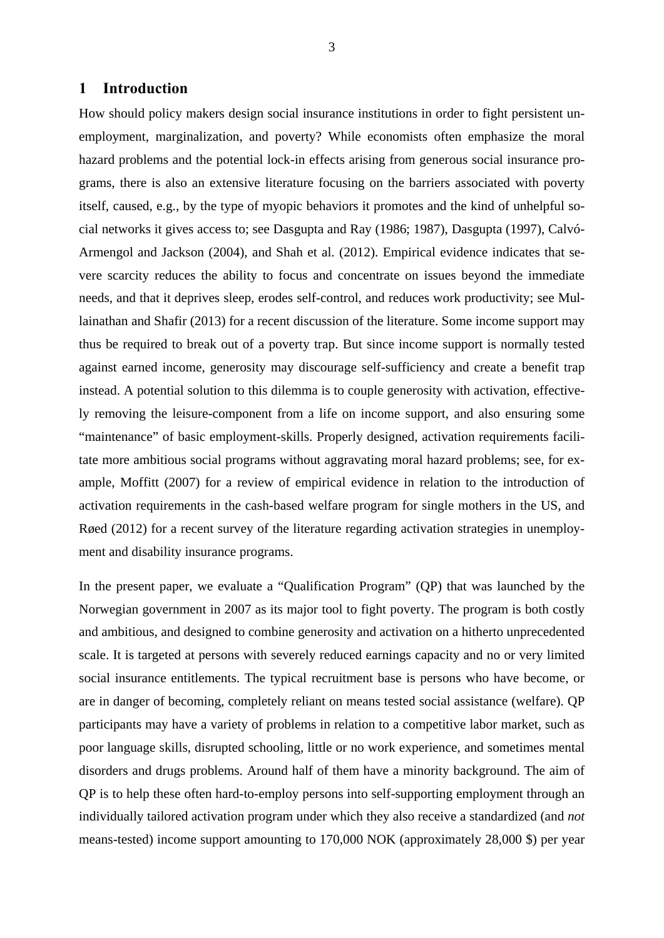#### **1 Introduction**

How should policy makers design social insurance institutions in order to fight persistent unemployment, marginalization, and poverty? While economists often emphasize the moral hazard problems and the potential lock-in effects arising from generous social insurance programs, there is also an extensive literature focusing on the barriers associated with poverty itself, caused, e.g., by the type of myopic behaviors it promotes and the kind of unhelpful social networks it gives access to; see Dasgupta and Ray (1986; 1987), Dasgupta (1997), Calvó-Armengol and Jackson (2004), and Shah et al. (2012). Empirical evidence indicates that severe scarcity reduces the ability to focus and concentrate on issues beyond the immediate needs, and that it deprives sleep, erodes self-control, and reduces work productivity; see Mullainathan and Shafir (2013) for a recent discussion of the literature. Some income support may thus be required to break out of a poverty trap. But since income support is normally tested against earned income, generosity may discourage self-sufficiency and create a benefit trap instead. A potential solution to this dilemma is to couple generosity with activation, effectively removing the leisure-component from a life on income support, and also ensuring some "maintenance" of basic employment-skills. Properly designed, activation requirements facilitate more ambitious social programs without aggravating moral hazard problems; see, for example, Moffitt (2007) for a review of empirical evidence in relation to the introduction of activation requirements in the cash-based welfare program for single mothers in the US, and Røed (2012) for a recent survey of the literature regarding activation strategies in unemployment and disability insurance programs.

In the present paper, we evaluate a "Qualification Program" (QP) that was launched by the Norwegian government in 2007 as its major tool to fight poverty. The program is both costly and ambitious, and designed to combine generosity and activation on a hitherto unprecedented scale. It is targeted at persons with severely reduced earnings capacity and no or very limited social insurance entitlements. The typical recruitment base is persons who have become, or are in danger of becoming, completely reliant on means tested social assistance (welfare). QP participants may have a variety of problems in relation to a competitive labor market, such as poor language skills, disrupted schooling, little or no work experience, and sometimes mental disorders and drugs problems. Around half of them have a minority background. The aim of QP is to help these often hard-to-employ persons into self-supporting employment through an individually tailored activation program under which they also receive a standardized (and *not* means-tested) income support amounting to 170,000 NOK (approximately 28,000 \$) per year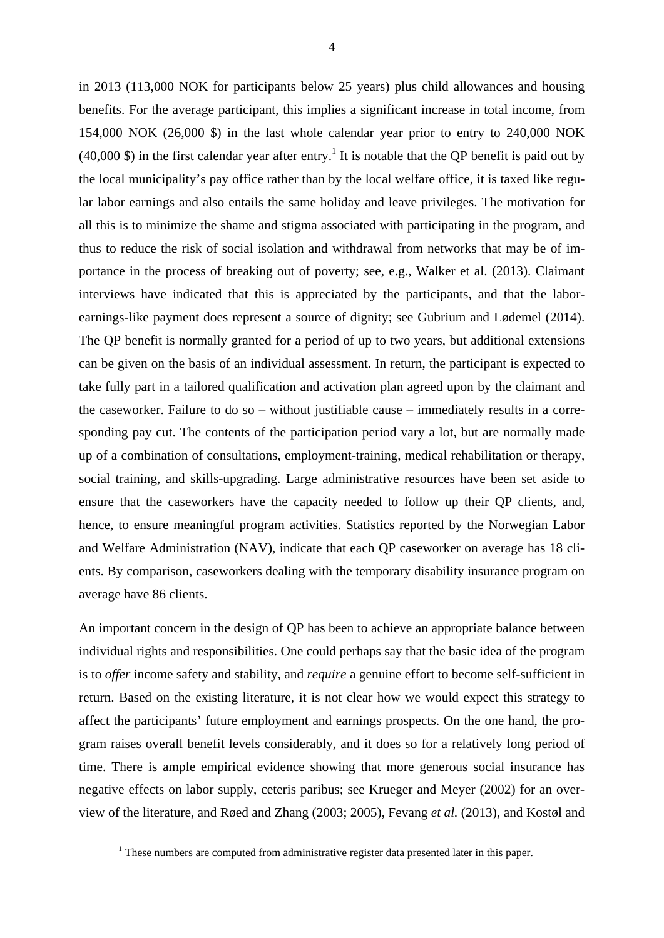in 2013 (113,000 NOK for participants below 25 years) plus child allowances and housing benefits. For the average participant, this implies a significant increase in total income, from 154,000 NOK (26,000 \$) in the last whole calendar year prior to entry to 240,000 NOK  $(40,000 \text{ s})$  in the first calendar year after entry.<sup>1</sup> It is notable that the QP benefit is paid out by the local municipality's pay office rather than by the local welfare office, it is taxed like regular labor earnings and also entails the same holiday and leave privileges. The motivation for all this is to minimize the shame and stigma associated with participating in the program, and thus to reduce the risk of social isolation and withdrawal from networks that may be of importance in the process of breaking out of poverty; see, e.g., Walker et al. (2013). Claimant interviews have indicated that this is appreciated by the participants, and that the laborearnings-like payment does represent a source of dignity; see Gubrium and Lødemel (2014). The QP benefit is normally granted for a period of up to two years, but additional extensions can be given on the basis of an individual assessment. In return, the participant is expected to take fully part in a tailored qualification and activation plan agreed upon by the claimant and the caseworker. Failure to do so – without justifiable cause – immediately results in a corresponding pay cut. The contents of the participation period vary a lot, but are normally made up of a combination of consultations, employment-training, medical rehabilitation or therapy, social training, and skills-upgrading. Large administrative resources have been set aside to ensure that the caseworkers have the capacity needed to follow up their QP clients, and, hence, to ensure meaningful program activities. Statistics reported by the Norwegian Labor and Welfare Administration (NAV), indicate that each QP caseworker on average has 18 clients. By comparison, caseworkers dealing with the temporary disability insurance program on average have 86 clients.

An important concern in the design of QP has been to achieve an appropriate balance between individual rights and responsibilities. One could perhaps say that the basic idea of the program is to *offer* income safety and stability, and *require* a genuine effort to become self-sufficient in return. Based on the existing literature, it is not clear how we would expect this strategy to affect the participants' future employment and earnings prospects. On the one hand, the program raises overall benefit levels considerably, and it does so for a relatively long period of time. There is ample empirical evidence showing that more generous social insurance has negative effects on labor supply, ceteris paribus; see Krueger and Meyer (2002) for an overview of the literature, and Røed and Zhang (2003; 2005), Fevang *et al.* (2013), and Kostøl and

 $\begin{array}{c|c}\n\hline\n\end{array}$  $1$  These numbers are computed from administrative register data presented later in this paper.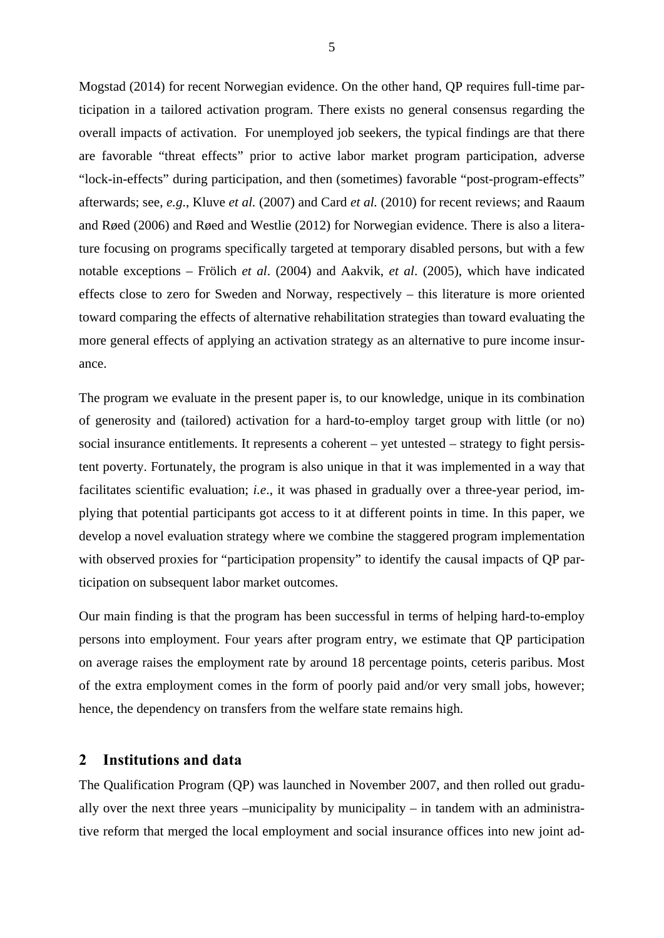Mogstad (2014) for recent Norwegian evidence. On the other hand, QP requires full-time participation in a tailored activation program. There exists no general consensus regarding the overall impacts of activation. For unemployed job seekers, the typical findings are that there are favorable "threat effects" prior to active labor market program participation, adverse "lock-in-effects" during participation, and then (sometimes) favorable "post-program-effects" afterwards; see, *e.g*., Kluve *et al.* (2007) and Card *et al.* (2010) for recent reviews; and Raaum and Røed (2006) and Røed and Westlie (2012) for Norwegian evidence. There is also a literature focusing on programs specifically targeted at temporary disabled persons, but with a few notable exceptions – Frölich *et al*. (2004) and Aakvik, *et al*. (2005), which have indicated effects close to zero for Sweden and Norway, respectively – this literature is more oriented toward comparing the effects of alternative rehabilitation strategies than toward evaluating the more general effects of applying an activation strategy as an alternative to pure income insurance.

The program we evaluate in the present paper is, to our knowledge, unique in its combination of generosity and (tailored) activation for a hard-to-employ target group with little (or no) social insurance entitlements. It represents a coherent – yet untested – strategy to fight persistent poverty. Fortunately, the program is also unique in that it was implemented in a way that facilitates scientific evaluation; *i.e*., it was phased in gradually over a three-year period, implying that potential participants got access to it at different points in time. In this paper, we develop a novel evaluation strategy where we combine the staggered program implementation with observed proxies for "participation propensity" to identify the causal impacts of QP participation on subsequent labor market outcomes.

Our main finding is that the program has been successful in terms of helping hard-to-employ persons into employment. Four years after program entry, we estimate that QP participation on average raises the employment rate by around 18 percentage points, ceteris paribus. Most of the extra employment comes in the form of poorly paid and/or very small jobs, however; hence, the dependency on transfers from the welfare state remains high.

#### **2 Institutions and data**

The Qualification Program (QP) was launched in November 2007, and then rolled out gradually over the next three years –municipality by municipality – in tandem with an administrative reform that merged the local employment and social insurance offices into new joint ad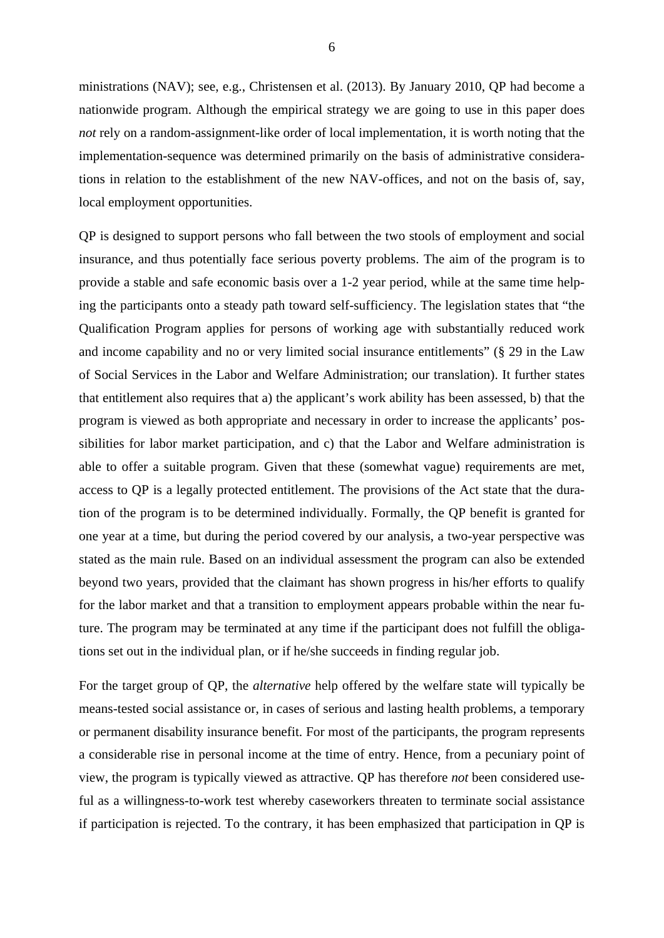ministrations (NAV); see, e.g., Christensen et al. (2013). By January 2010, QP had become a nationwide program. Although the empirical strategy we are going to use in this paper does *not* rely on a random-assignment-like order of local implementation, it is worth noting that the implementation-sequence was determined primarily on the basis of administrative considerations in relation to the establishment of the new NAV-offices, and not on the basis of, say, local employment opportunities.

QP is designed to support persons who fall between the two stools of employment and social insurance, and thus potentially face serious poverty problems. The aim of the program is to provide a stable and safe economic basis over a 1-2 year period, while at the same time helping the participants onto a steady path toward self-sufficiency. The legislation states that "the Qualification Program applies for persons of working age with substantially reduced work and income capability and no or very limited social insurance entitlements" (§ 29 in the Law of Social Services in the Labor and Welfare Administration; our translation). It further states that entitlement also requires that a) the applicant's work ability has been assessed, b) that the program is viewed as both appropriate and necessary in order to increase the applicants' possibilities for labor market participation, and c) that the Labor and Welfare administration is able to offer a suitable program. Given that these (somewhat vague) requirements are met, access to QP is a legally protected entitlement. The provisions of the Act state that the duration of the program is to be determined individually. Formally, the QP benefit is granted for one year at a time, but during the period covered by our analysis, a two-year perspective was stated as the main rule. Based on an individual assessment the program can also be extended beyond two years, provided that the claimant has shown progress in his/her efforts to qualify for the labor market and that a transition to employment appears probable within the near future. The program may be terminated at any time if the participant does not fulfill the obligations set out in the individual plan, or if he/she succeeds in finding regular job.

For the target group of QP, the *alternative* help offered by the welfare state will typically be means-tested social assistance or, in cases of serious and lasting health problems, a temporary or permanent disability insurance benefit. For most of the participants, the program represents a considerable rise in personal income at the time of entry. Hence, from a pecuniary point of view, the program is typically viewed as attractive. QP has therefore *not* been considered useful as a willingness-to-work test whereby caseworkers threaten to terminate social assistance if participation is rejected. To the contrary, it has been emphasized that participation in QP is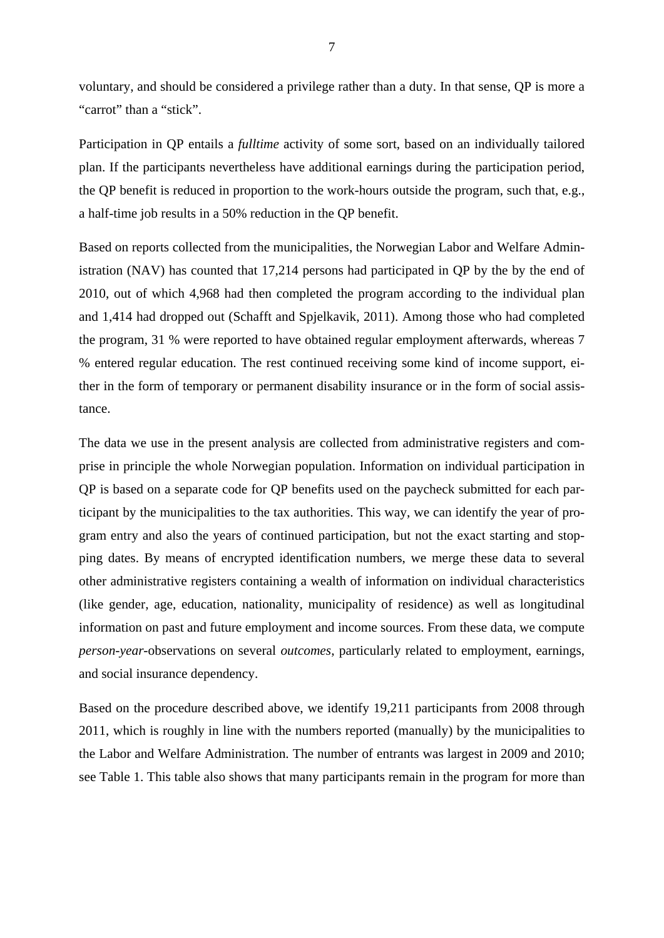voluntary, and should be considered a privilege rather than a duty. In that sense, QP is more a "carrot" than a "stick".

Participation in QP entails a *fulltime* activity of some sort, based on an individually tailored plan. If the participants nevertheless have additional earnings during the participation period, the QP benefit is reduced in proportion to the work-hours outside the program, such that, e.g., a half-time job results in a 50% reduction in the QP benefit.

Based on reports collected from the municipalities, the Norwegian Labor and Welfare Administration (NAV) has counted that 17,214 persons had participated in QP by the by the end of 2010, out of which 4,968 had then completed the program according to the individual plan and 1,414 had dropped out (Schafft and Spjelkavik, 2011). Among those who had completed the program, 31 % were reported to have obtained regular employment afterwards, whereas 7 % entered regular education. The rest continued receiving some kind of income support, either in the form of temporary or permanent disability insurance or in the form of social assistance.

The data we use in the present analysis are collected from administrative registers and comprise in principle the whole Norwegian population. Information on individual participation in QP is based on a separate code for QP benefits used on the paycheck submitted for each participant by the municipalities to the tax authorities. This way, we can identify the year of program entry and also the years of continued participation, but not the exact starting and stopping dates. By means of encrypted identification numbers, we merge these data to several other administrative registers containing a wealth of information on individual characteristics (like gender, age, education, nationality, municipality of residence) as well as longitudinal information on past and future employment and income sources. From these data, we compute *person-year*-observations on several *outcomes*, particularly related to employment, earnings, and social insurance dependency.

Based on the procedure described above, we identify 19,211 participants from 2008 through 2011, which is roughly in line with the numbers reported (manually) by the municipalities to the Labor and Welfare Administration. The number of entrants was largest in 2009 and 2010; see Table 1. This table also shows that many participants remain in the program for more than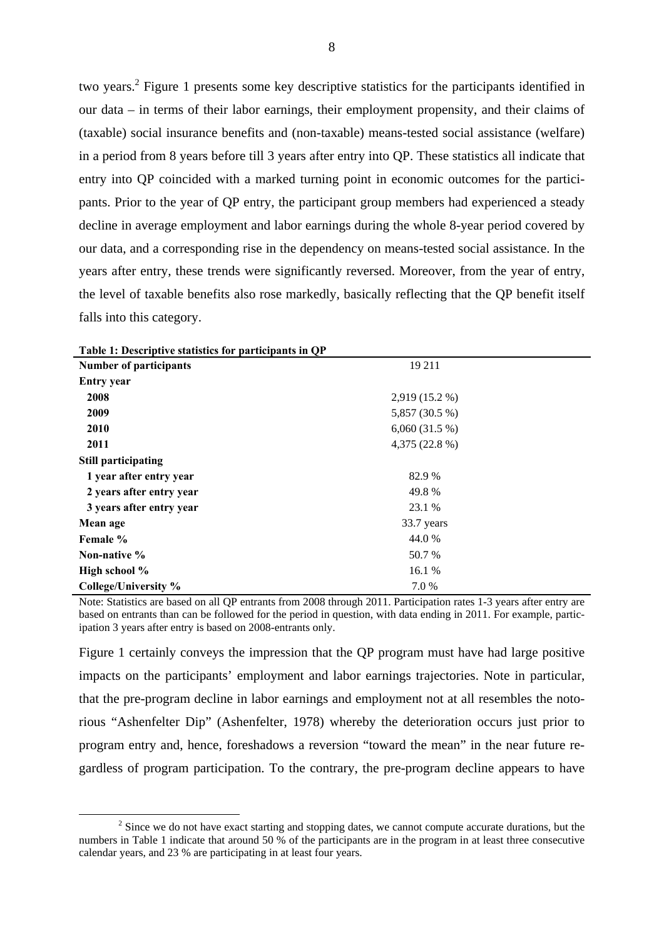two years.<sup>2</sup> Figure 1 presents some key descriptive statistics for the participants identified in our data – in terms of their labor earnings, their employment propensity, and their claims of (taxable) social insurance benefits and (non-taxable) means-tested social assistance (welfare) in a period from 8 years before till 3 years after entry into QP. These statistics all indicate that entry into QP coincided with a marked turning point in economic outcomes for the participants. Prior to the year of QP entry, the participant group members had experienced a steady decline in average employment and labor earnings during the whole 8-year period covered by our data, and a corresponding rise in the dependency on means-tested social assistance. In the years after entry, these trends were significantly reversed. Moreover, from the year of entry, the level of taxable benefits also rose markedly, basically reflecting that the QP benefit itself falls into this category.

| Table 1. Descriptive statistics for participants in Q1 |                |  |
|--------------------------------------------------------|----------------|--|
| <b>Number of participants</b>                          | 19 211         |  |
| <b>Entry year</b>                                      |                |  |
| 2008                                                   | 2,919 (15.2 %) |  |
| 2009                                                   | 5,857 (30.5 %) |  |
| 2010                                                   | 6,060(31.5%)   |  |
| 2011                                                   | 4,375 (22.8 %) |  |
| <b>Still participating</b>                             |                |  |
| 1 year after entry year                                | 82.9 %         |  |
| 2 years after entry year                               | 49.8%          |  |
| 3 years after entry year                               | 23.1 %         |  |
| Mean age                                               | 33.7 years     |  |
| Female %                                               | 44.0 %         |  |
| Non-native $\%$                                        | 50.7 %         |  |
| High school %                                          | 16.1 %         |  |
| College/University %                                   | 7.0 %          |  |

|  |  | Table 1: Descriptive statistics for participants in QP |
|--|--|--------------------------------------------------------|
|--|--|--------------------------------------------------------|

Note: Statistics are based on all QP entrants from 2008 through 2011. Participation rates 1-3 years after entry are based on entrants than can be followed for the period in question, with data ending in 2011. For example, participation 3 years after entry is based on 2008-entrants only.

Figure 1 certainly conveys the impression that the QP program must have had large positive impacts on the participants' employment and labor earnings trajectories. Note in particular, that the pre-program decline in labor earnings and employment not at all resembles the notorious "Ashenfelter Dip" (Ashenfelter, 1978) whereby the deterioration occurs just prior to program entry and, hence, foreshadows a reversion "toward the mean" in the near future regardless of program participation. To the contrary, the pre-program decline appears to have

 $\frac{1}{2}$ <sup>2</sup> Since we do not have exact starting and stopping dates, we cannot compute accurate durations, but the numbers in Table 1 indicate that around 50 % of the participants are in the program in at least three consecutive calendar years, and 23 % are participating in at least four years.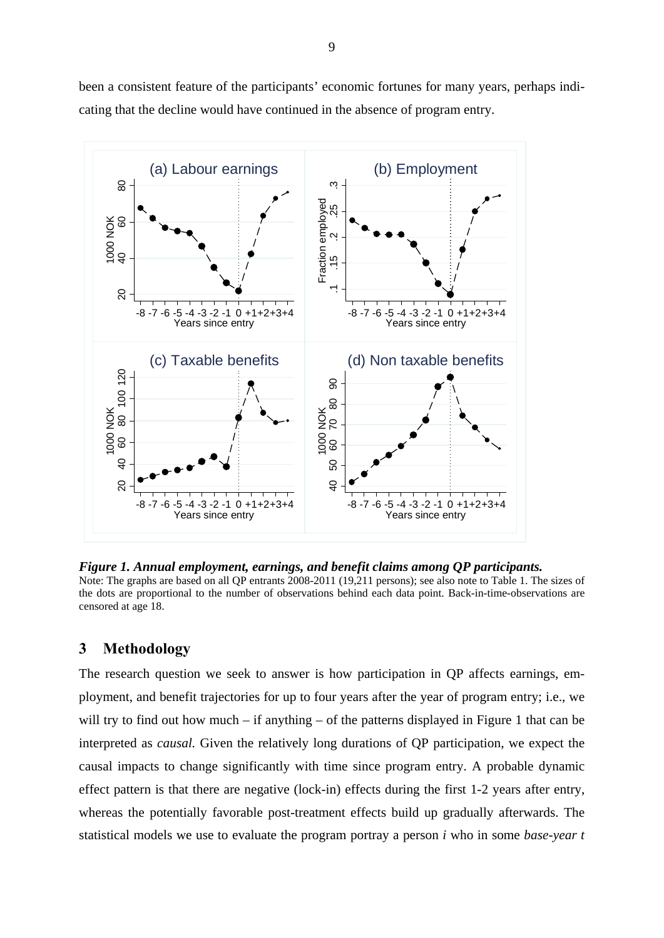

been a consistent feature of the participants' economic fortunes for many years, perhaps indicating that the decline would have continued in the absence of program entry.

*Figure 1. Annual employment, earnings, and benefit claims among QP participants.*  Note: The graphs are based on all QP entrants 2008-2011 (19,211 persons); see also note to Table 1. The sizes of the dots are proportional to the number of observations behind each data point. Back-in-time-observations are censored at age 18.

### **3 Methodology**

The research question we seek to answer is how participation in QP affects earnings, employment, and benefit trajectories for up to four years after the year of program entry; i.e., we will try to find out how much – if anything – of the patterns displayed in Figure 1 that can be interpreted as *causal.* Given the relatively long durations of QP participation, we expect the causal impacts to change significantly with time since program entry. A probable dynamic effect pattern is that there are negative (lock-in) effects during the first 1-2 years after entry, whereas the potentially favorable post-treatment effects build up gradually afterwards. The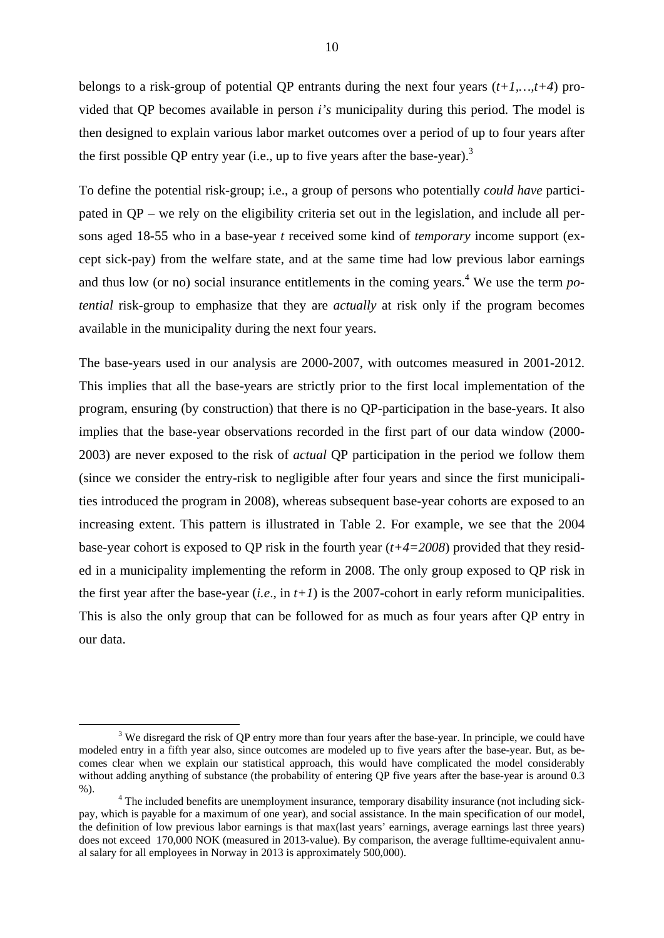belongs to a risk-group of potential QP entrants during the next four years (*t+1,…,t+4*) provided that QP becomes available in person *i's* municipality during this period. The model is then designed to explain various labor market outcomes over a period of up to four years after the first possible QP entry year (i.e., up to five years after the base-year).<sup>3</sup>

To define the potential risk-group; i.e., a group of persons who potentially *could have* participated in QP – we rely on the eligibility criteria set out in the legislation, and include all persons aged 18-55 who in a base-year *t* received some kind of *temporary* income support (except sick-pay) from the welfare state, and at the same time had low previous labor earnings and thus low (or no) social insurance entitlements in the coming years.<sup>4</sup> We use the term  $po$ *tential* risk-group to emphasize that they are *actually* at risk only if the program becomes available in the municipality during the next four years.

The base-years used in our analysis are 2000-2007, with outcomes measured in 2001-2012. This implies that all the base-years are strictly prior to the first local implementation of the program, ensuring (by construction) that there is no QP-participation in the base-years. It also implies that the base-year observations recorded in the first part of our data window (2000- 2003) are never exposed to the risk of *actual* QP participation in the period we follow them (since we consider the entry-risk to negligible after four years and since the first municipalities introduced the program in 2008), whereas subsequent base-year cohorts are exposed to an increasing extent. This pattern is illustrated in Table 2. For example, we see that the 2004 base-year cohort is exposed to QP risk in the fourth year (*t+4=2008*) provided that they resided in a municipality implementing the reform in 2008. The only group exposed to QP risk in the first year after the base-year  $(i.e., in t+1)$  is the 2007-cohort in early reform municipalities. This is also the only group that can be followed for as much as four years after QP entry in our data.

 $\frac{1}{3}$ <sup>3</sup> We disregard the risk of QP entry more than four years after the base-year. In principle, we could have modeled entry in a fifth year also, since outcomes are modeled up to five years after the base-year. But, as becomes clear when we explain our statistical approach, this would have complicated the model considerably without adding anything of substance (the probability of entering OP five years after the base-year is around 0.3  $%$ ).

The included benefits are unemployment insurance, temporary disability insurance (not including sickpay, which is payable for a maximum of one year), and social assistance. In the main specification of our model, the definition of low previous labor earnings is that max(last years' earnings, average earnings last three years) does not exceed 170,000 NOK (measured in 2013-value). By comparison, the average fulltime-equivalent annual salary for all employees in Norway in 2013 is approximately 500,000).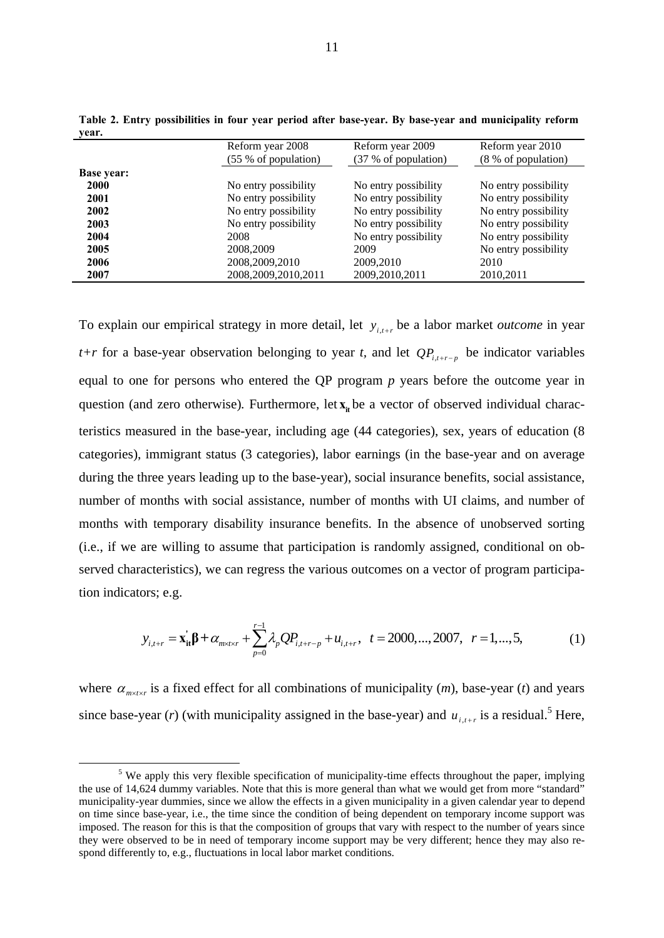|                   | Reform year 2008<br>(55 % of population) | Reform year 2009<br>(37 % of population) | Reform year 2010<br>(8 % of population) |
|-------------------|------------------------------------------|------------------------------------------|-----------------------------------------|
| <b>Base year:</b> |                                          |                                          |                                         |
| 2000              | No entry possibility                     | No entry possibility                     | No entry possibility                    |
| 2001              | No entry possibility                     | No entry possibility                     | No entry possibility                    |
| 2002              | No entry possibility                     | No entry possibility                     | No entry possibility                    |
| 2003              | No entry possibility                     | No entry possibility                     | No entry possibility                    |
| 2004              | 2008                                     | No entry possibility                     | No entry possibility                    |
| 2005              | 2008,2009                                | 2009                                     | No entry possibility                    |
| 2006              | 2008, 2009, 2010                         | 2009,2010                                | 2010                                    |
| 2007              | 2008, 2009, 2010, 2011                   | 2009, 2010, 2011                         | 2010,2011                               |

**Table 2. Entry possibilities in four year period after base-year. By base-year and municipality reform year.** 

To explain our empirical strategy in more detail, let  $y_{i,t+r}$  be a labor market *outcome* in year *t+r* for a base-year observation belonging to year *t*, and let  $QP_{i,t+r-p}$  be indicator variables equal to one for persons who entered the QP program *p* years before the outcome year in question (and zero otherwise). Furthermore, let  $\mathbf{x}_i$  be a vector of observed individual characteristics measured in the base-year, including age (44 categories), sex, years of education (8 categories), immigrant status (3 categories), labor earnings (in the base-year and on average during the three years leading up to the base-year), social insurance benefits, social assistance, number of months with social assistance, number of months with UI claims, and number of months with temporary disability insurance benefits. In the absence of unobserved sorting (i.e., if we are willing to assume that participation is randomly assigned, conditional on observed characteristics), we can regress the various outcomes on a vector of program participation indicators; e.g.

$$
y_{i,t+r} = \mathbf{x}_{it}^{\dagger} \boldsymbol{\beta} + \alpha_{m \times t \times r} + \sum_{p=0}^{r-1} \lambda_p Q P_{i,t+r-p} + u_{i,t+r}, \quad t = 2000, \dots, 2007, \quad r = 1, \dots, 5,
$$
 (1)

where  $\alpha_{m \times l \times r}$  is a fixed effect for all combinations of municipality  $(m)$ , base-year  $(t)$  and years since base-year (*r*) (with municipality assigned in the base-year) and  $u_{i,t+r}$  is a residual.<sup>5</sup> Here,

 $rac{1}{5}$  $\sigma$ <sup>5</sup> We apply this very flexible specification of municipality-time effects throughout the paper, implying the use of 14,624 dummy variables. Note that this is more general than what we would get from more "standard" municipality-year dummies, since we allow the effects in a given municipality in a given calendar year to depend on time since base-year, i.e., the time since the condition of being dependent on temporary income support was imposed. The reason for this is that the composition of groups that vary with respect to the number of years since they were observed to be in need of temporary income support may be very different; hence they may also respond differently to, e.g., fluctuations in local labor market conditions.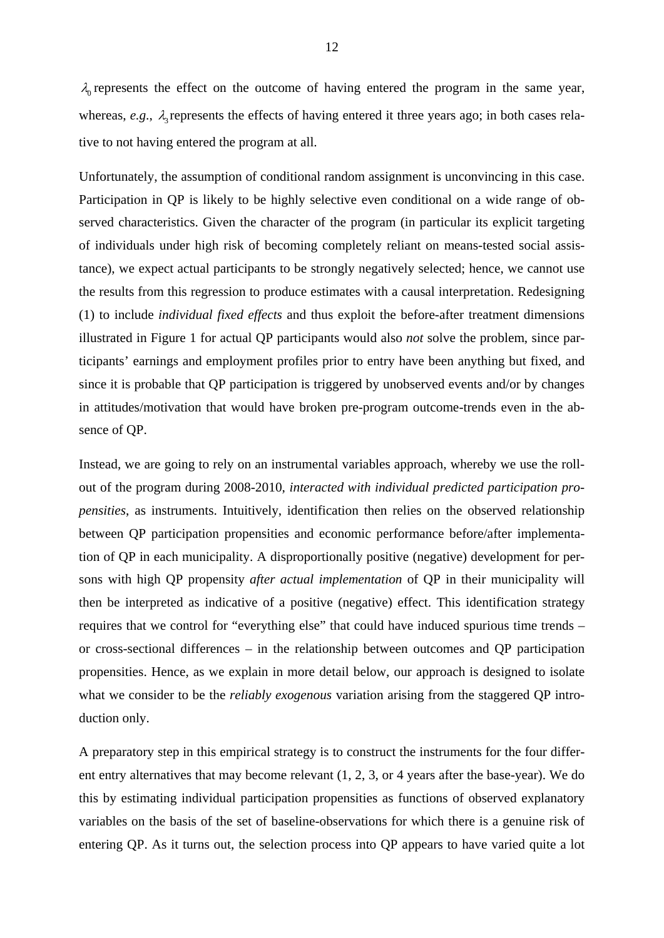$\lambda_0$  represents the effect on the outcome of having entered the program in the same year, whereas,  $e.g., \lambda$  represents the effects of having entered it three years ago; in both cases relative to not having entered the program at all.

Unfortunately, the assumption of conditional random assignment is unconvincing in this case. Participation in QP is likely to be highly selective even conditional on a wide range of observed characteristics. Given the character of the program (in particular its explicit targeting of individuals under high risk of becoming completely reliant on means-tested social assistance), we expect actual participants to be strongly negatively selected; hence, we cannot use the results from this regression to produce estimates with a causal interpretation. Redesigning (1) to include *individual fixed effects* and thus exploit the before-after treatment dimensions illustrated in Figure 1 for actual QP participants would also *not* solve the problem, since participants' earnings and employment profiles prior to entry have been anything but fixed, and since it is probable that QP participation is triggered by unobserved events and/or by changes in attitudes/motivation that would have broken pre-program outcome-trends even in the absence of QP.

Instead, we are going to rely on an instrumental variables approach, whereby we use the rollout of the program during 2008-2010, *interacted with individual predicted participation propensities*, as instruments. Intuitively, identification then relies on the observed relationship between QP participation propensities and economic performance before/after implementation of QP in each municipality. A disproportionally positive (negative) development for persons with high QP propensity *after actual implementation* of QP in their municipality will then be interpreted as indicative of a positive (negative) effect. This identification strategy requires that we control for "everything else" that could have induced spurious time trends – or cross-sectional differences – in the relationship between outcomes and QP participation propensities. Hence, as we explain in more detail below, our approach is designed to isolate what we consider to be the *reliably exogenous* variation arising from the staggered QP introduction only.

A preparatory step in this empirical strategy is to construct the instruments for the four different entry alternatives that may become relevant (1, 2, 3, or 4 years after the base-year). We do this by estimating individual participation propensities as functions of observed explanatory variables on the basis of the set of baseline-observations for which there is a genuine risk of entering QP. As it turns out, the selection process into QP appears to have varied quite a lot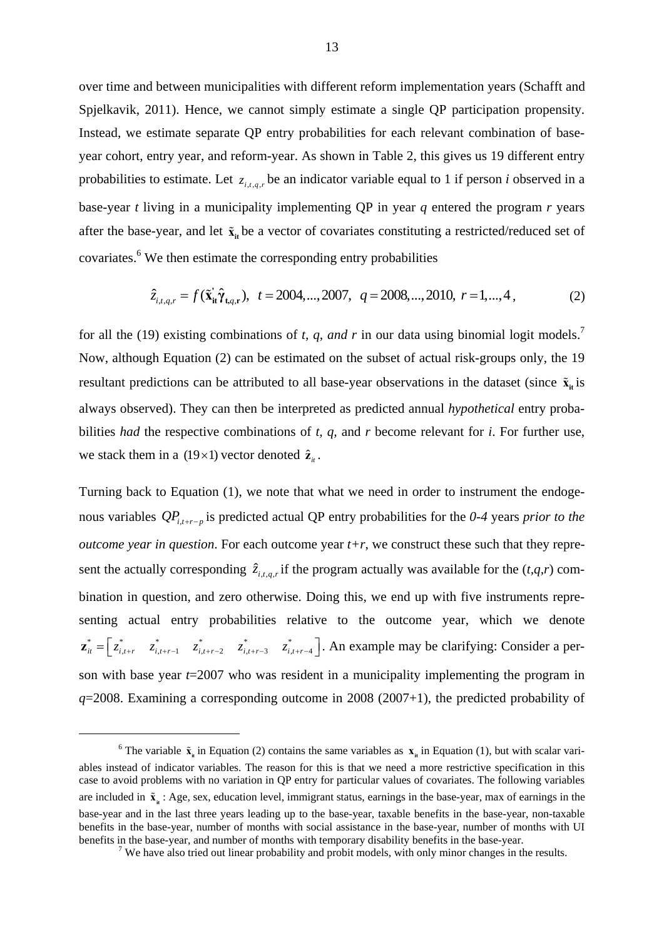over time and between municipalities with different reform implementation years (Schafft and Spjelkavik, 2011). Hence, we cannot simply estimate a single QP participation propensity. Instead, we estimate separate QP entry probabilities for each relevant combination of baseyear cohort, entry year, and reform-year. As shown in Table 2, this gives us 19 different entry probabilities to estimate. Let  $z_{i,t,q,r}$  be an indicator variable equal to 1 if person *i* observed in a base-year *t* living in a municipality implementing QP in year *q* entered the program *r* years after the base-year, and let  $\tilde{\mathbf{x}}_{it}$  be a vector of covariates constituting a restricted/reduced set of covariates.<sup>6</sup> We then estimate the corresponding entry probabilities

$$
\hat{z}_{i,t,q,r} = f(\tilde{\mathbf{x}}_{it}^{\dagger}\hat{\boldsymbol{\gamma}}_{t,q,r}), \quad t = 2004,...,2007, \quad q = 2008,...,2010, \quad r = 1,...,4 \tag{2}
$$

for all the (19) existing combinations of *t, q, and r* in our data using binomial logit models.<sup>7</sup> Now, although Equation (2) can be estimated on the subset of actual risk-groups only, the 19 resultant predictions can be attributed to all base-year observations in the dataset (since  $\tilde{\mathbf{x}}_i$  is always observed). They can then be interpreted as predicted annual *hypothetical* entry probabilities *had* the respective combinations of *t, q,* and *r* become relevant for *i*. For further use, we stack them in a (19  $\times$ 1) vector denoted  $\hat{z}_{it}$ .

Turning back to Equation (1), we note that what we need in order to instrument the endogenous variables  $QP_{i+r-n}$  is predicted actual QP entry probabilities for the 0-4 years *prior to the outcome year in question*. For each outcome year *t+r*, we construct these such that they represent the actually corresponding  $\hat{z}_{i,t,a,r}$  if the program actually was available for the  $(t,q,r)$  combination in question, and zero otherwise. Doing this, we end up with five instruments representing actual entry probabilities relative to the outcome year, which we denote  $\mathbf{z}_{i}^* = \begin{bmatrix} z_{i,t+r}^* & z_{i,t+r-1}^* & z_{i,t+r-2}^* & z_{i,t+r-3}^* & z_{i,t+r-4}^* \end{bmatrix}$ . An example may be clarifying: Consider a person with base year *t*=2007 who was resident in a municipality implementing the program in *q*=2008. Examining a corresponding outcome in 2008 (2007+1), the predicted probability of

 $\overline{6}$ <sup>6</sup> The variable  $\tilde{\mathbf{x}}_n$  in Equation (2) contains the same variables as  $\mathbf{x}_n$  in Equation (1), but with scalar variables instead of indicator variables. The reason for this is that we need a more restrictive specification in this case to avoid problems with no variation in QP entry for particular values of covariates. The following variables are included in  $\tilde{\mathbf{x}}_n$ : Age, sex, education level, immigrant status, earnings in the base-year, max of earnings in the base-year and in the last three years leading up to the base-year, taxable benefits in the base-year, non-taxable benefits in the base-year, number of months with social assistance in the base-year, number of months with UI benefits in the base-year, and number of months with temporary disability benefits in the base-year. 7

<sup>&</sup>lt;sup>7</sup> We have also tried out linear probability and probit models, with only minor changes in the results.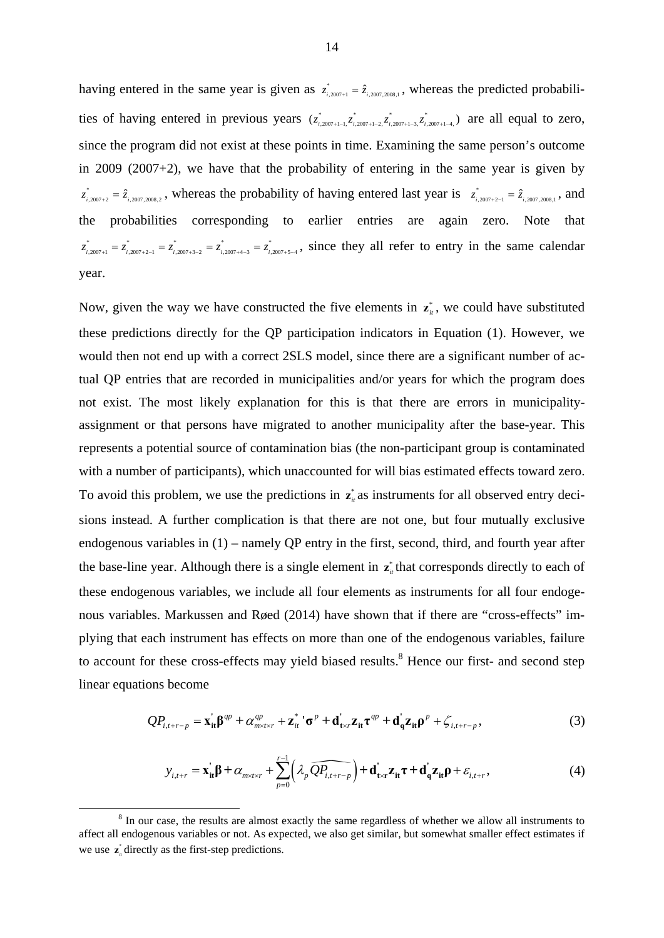having entered in the same year is given as  $z_{i,2007,2008,1}^*$ , whereas the predicted probabilities of having entered in previous years  $(z_{i,2007+1-1}^*z_{i,2007+1-2}^*z_{i,2007+1-3}^*)$  are all equal to zero, since the program did not exist at these points in time. Examining the same person's outcome in 2009 (2007+2), we have that the probability of entering in the same year is given by  $z_{i,2007+2}^* = \hat{z}_{i,2007,2008,2}$ , whereas the probability of having entered last year is  $z_{i,2007+2-1}^* = \hat{z}_{i,2007,2008,1}$ , and the probabilities corresponding to earlier entries are again zero. Note that  $z_{i,2007+1}^* = z_{i,2007+2-1}^* = z_{i,2007+3-2}^* = z_{i,2007+4-3}^* = z_{i,2007+5-4}^*$ , since they all refer to entry in the same calendar year.

Now, given the way we have constructed the five elements in  $z_{\mu}^*$ , we could have substituted these predictions directly for the QP participation indicators in Equation (1). However, we would then not end up with a correct 2SLS model, since there are a significant number of actual QP entries that are recorded in municipalities and/or years for which the program does not exist. The most likely explanation for this is that there are errors in municipalityassignment or that persons have migrated to another municipality after the base-year. This represents a potential source of contamination bias (the non-participant group is contaminated with a number of participants), which unaccounted for will bias estimated effects toward zero. To avoid this problem, we use the predictions in  $z_n^*$  as instruments for all observed entry decisions instead. A further complication is that there are not one, but four mutually exclusive endogenous variables in (1) – namely QP entry in the first, second, third, and fourth year after the base-line year. Although there is a single element in  $z^*$  that corresponds directly to each of these endogenous variables, we include all four elements as instruments for all four endogenous variables. Markussen and Røed (2014) have shown that if there are "cross-effects" implying that each instrument has effects on more than one of the endogenous variables, failure to account for these cross-effects may yield biased results.<sup>8</sup> Hence our first- and second step linear equations become

$$
QP_{i,i+r-p} = \mathbf{x}_{it}^{'} \boldsymbol{\beta}^{qp} + \alpha_{m \times t \times r}^{qp} + \mathbf{z}_{it}^{*} \cdot \boldsymbol{\sigma}^{p} + \mathbf{d}_{t \times r}^{'} \mathbf{z}_{it} \boldsymbol{\tau}^{qp} + \mathbf{d}_{q}^{'} \mathbf{z}_{it} \boldsymbol{\rho}^{p} + \zeta_{i,i+r-p},
$$
\n(3)

$$
y_{i,t+r} = \mathbf{x}_{it}^{\dagger} \boldsymbol{\beta} + \alpha_{m \times t \times r} + \sum_{p=0}^{r-1} \left( \lambda_p \widehat{QP_{i,t+r-p}} \right) + \mathbf{d}_{t \times r}^{\dagger} \mathbf{z}_{it} \boldsymbol{\tau} + \mathbf{d}_{q}^{\dagger} \mathbf{z}_{it} \boldsymbol{\rho} + \varepsilon_{i,t+r}, \tag{4}
$$

 $\begin{array}{c|c}\n\hline\n\text{1} & \text{2} & \text{3}\n\end{array}$ <sup>8</sup> In our case, the results are almost exactly the same regardless of whether we allow all instruments to affect all endogenous variables or not. As expected, we also get similar, but somewhat smaller effect estimates if we use  $\mathbf{z}_{i}^{*}$  directly as the first-step predictions.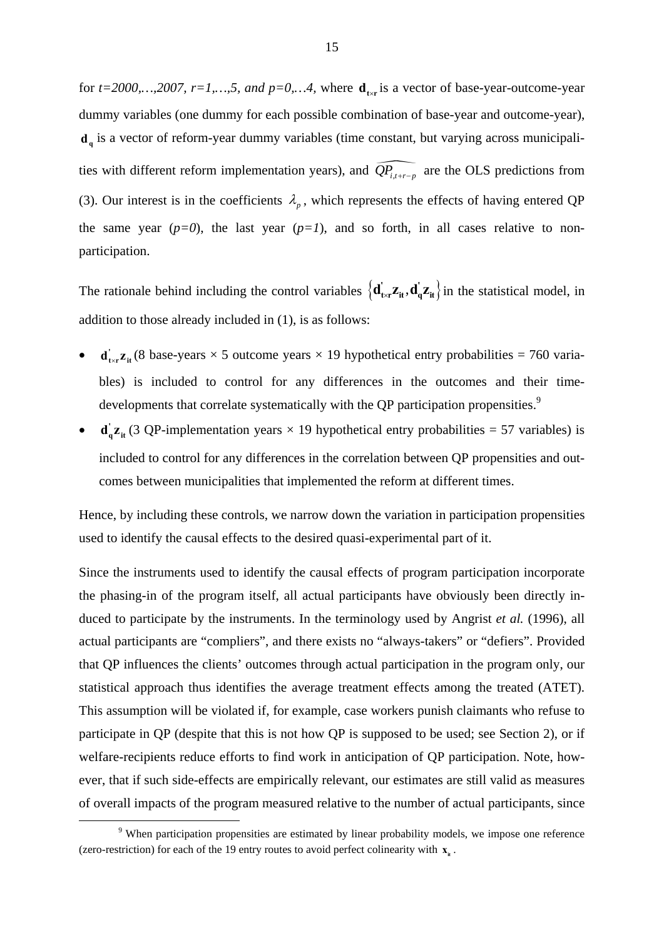for  $t=2000,...,2007$ ,  $r=1,...,5$ , and  $p=0,...4$ , where  $\mathbf{d}_{\text{txr}}$  is a vector of base-year-outcome-year dummy variables (one dummy for each possible combination of base-year and outcome-year), **d<sub>q</sub>** is a vector of reform-year dummy variables (time constant, but varying across municipalities with different reform implementation years), and  $\widehat{QP}_{i,t+r-p}$  are the OLS predictions from (3). Our interest is in the coefficients  $\lambda_p$ , which represents the effects of having entered QP the same year  $(p=0)$ , the last year  $(p=1)$ , and so forth, in all cases relative to nonparticipation.

The rationale behind including the control variables  $\{d_{\rm tx}^i z_{\rm it}, d_q^i z_{\rm it}\}$  in the statistical model, in addition to those already included in (1), is as follows:

- **d**  $_{\text{txr}}$ **z**<sub>it</sub>(8 base-years  $\times$  5 outcome years  $\times$  19 hypothetical entry probabilities = 760 variables) is included to control for any differences in the outcomes and their timedevelopments that correlate systematically with the QP participation propensities.<sup>9</sup>
- $\mathbf{d}_{q}^{\dagger} \mathbf{z}_{it}$  (3 QP-implementation years  $\times$  19 hypothetical entry probabilities = 57 variables) is included to control for any differences in the correlation between QP propensities and outcomes between municipalities that implemented the reform at different times.

Hence, by including these controls, we narrow down the variation in participation propensities used to identify the causal effects to the desired quasi-experimental part of it.

Since the instruments used to identify the causal effects of program participation incorporate the phasing-in of the program itself, all actual participants have obviously been directly induced to participate by the instruments. In the terminology used by Angrist *et al.* (1996), all actual participants are "compliers", and there exists no "always-takers" or "defiers". Provided that QP influences the clients' outcomes through actual participation in the program only, our statistical approach thus identifies the average treatment effects among the treated (ATET). This assumption will be violated if, for example, case workers punish claimants who refuse to participate in QP (despite that this is not how QP is supposed to be used; see Section 2), or if welfare-recipients reduce efforts to find work in anticipation of QP participation. Note, however, that if such side-effects are empirically relevant, our estimates are still valid as measures of overall impacts of the program measured relative to the number of actual participants, since

 $\frac{1}{\sqrt{9}}$ <sup>9</sup> When participation propensities are estimated by linear probability models, we impose one reference (zero-restriction) for each of the 19 entry routes to avoid perfect colinearity with  $\mathbf{x}_n$ .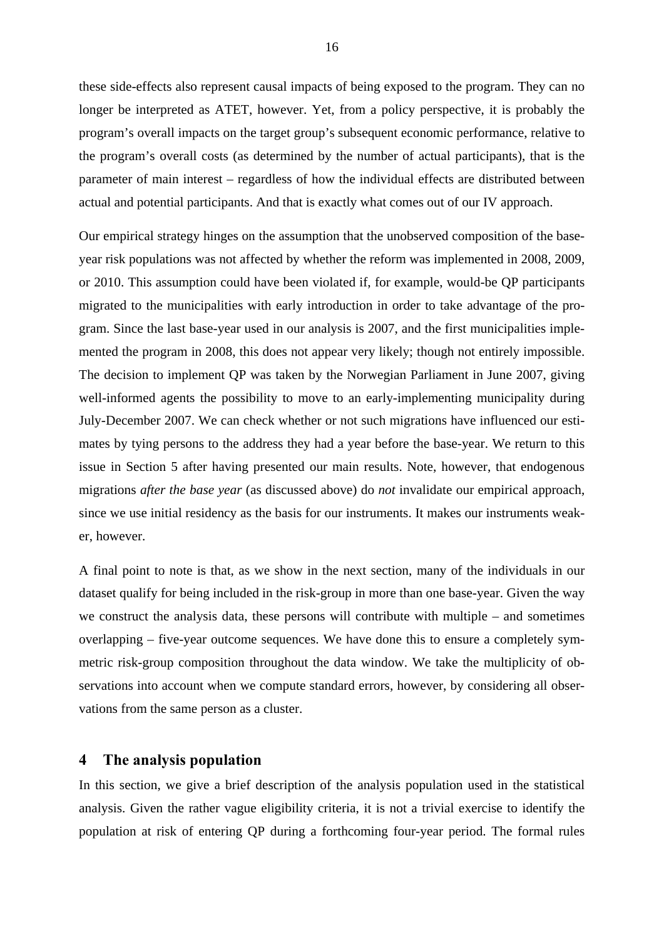these side-effects also represent causal impacts of being exposed to the program. They can no longer be interpreted as ATET, however. Yet, from a policy perspective, it is probably the program's overall impacts on the target group's subsequent economic performance, relative to the program's overall costs (as determined by the number of actual participants), that is the parameter of main interest – regardless of how the individual effects are distributed between actual and potential participants. And that is exactly what comes out of our IV approach.

Our empirical strategy hinges on the assumption that the unobserved composition of the baseyear risk populations was not affected by whether the reform was implemented in 2008, 2009, or 2010. This assumption could have been violated if, for example, would-be QP participants migrated to the municipalities with early introduction in order to take advantage of the program. Since the last base-year used in our analysis is 2007, and the first municipalities implemented the program in 2008, this does not appear very likely; though not entirely impossible. The decision to implement QP was taken by the Norwegian Parliament in June 2007, giving well-informed agents the possibility to move to an early-implementing municipality during July-December 2007. We can check whether or not such migrations have influenced our estimates by tying persons to the address they had a year before the base-year. We return to this issue in Section 5 after having presented our main results. Note, however, that endogenous migrations *after the base year* (as discussed above) do *not* invalidate our empirical approach, since we use initial residency as the basis for our instruments. It makes our instruments weaker, however.

A final point to note is that, as we show in the next section, many of the individuals in our dataset qualify for being included in the risk-group in more than one base-year. Given the way we construct the analysis data, these persons will contribute with multiple – and sometimes overlapping – five-year outcome sequences. We have done this to ensure a completely symmetric risk-group composition throughout the data window. We take the multiplicity of observations into account when we compute standard errors, however, by considering all observations from the same person as a cluster.

#### **4 The analysis population**

In this section, we give a brief description of the analysis population used in the statistical analysis. Given the rather vague eligibility criteria, it is not a trivial exercise to identify the population at risk of entering QP during a forthcoming four-year period. The formal rules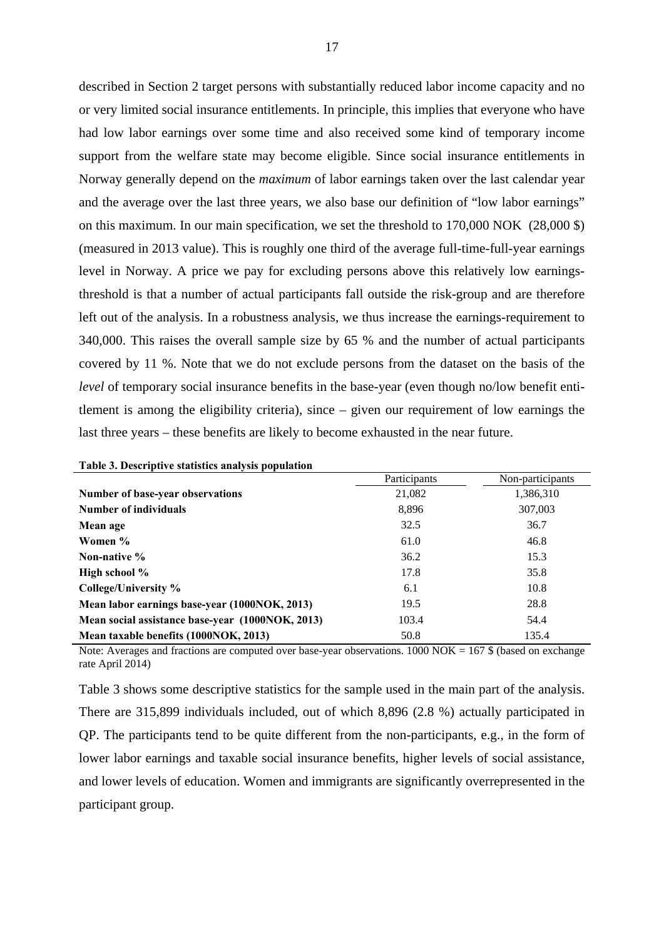described in Section 2 target persons with substantially reduced labor income capacity and no or very limited social insurance entitlements. In principle, this implies that everyone who have had low labor earnings over some time and also received some kind of temporary income support from the welfare state may become eligible. Since social insurance entitlements in Norway generally depend on the *maximum* of labor earnings taken over the last calendar year and the average over the last three years, we also base our definition of "low labor earnings" on this maximum. In our main specification, we set the threshold to 170,000 NOK (28,000 \$) (measured in 2013 value). This is roughly one third of the average full-time-full-year earnings level in Norway. A price we pay for excluding persons above this relatively low earningsthreshold is that a number of actual participants fall outside the risk-group and are therefore left out of the analysis. In a robustness analysis, we thus increase the earnings-requirement to 340,000. This raises the overall sample size by 65 % and the number of actual participants covered by 11 %. Note that we do not exclude persons from the dataset on the basis of the *level* of temporary social insurance benefits in the base-year (even though no/low benefit entitlement is among the eligibility criteria), since – given our requirement of low earnings the last three years – these benefits are likely to become exhausted in the near future.

| Participants | Non-participants |
|--------------|------------------|
| 21,082       | 1,386,310        |
| 8,896        | 307,003          |
| 32.5         | 36.7             |
| 61.0         | 46.8             |
| 36.2         | 15.3             |
| 17.8         | 35.8             |
| 6.1          | 10.8             |
| 19.5         | 28.8             |
| 103.4        | 54.4             |
| 50.8         | 135.4            |
|              |                  |

| Table 3. Descriptive statistics analysis population |
|-----------------------------------------------------|
|-----------------------------------------------------|

Note: Averages and fractions are computed over base-year observations.  $1000 \text{ NOK} = 167 \text{ %}$  (based on exchange rate April 2014)

Table 3 shows some descriptive statistics for the sample used in the main part of the analysis. There are 315,899 individuals included, out of which 8,896 (2.8 %) actually participated in QP. The participants tend to be quite different from the non-participants, e.g., in the form of lower labor earnings and taxable social insurance benefits, higher levels of social assistance, and lower levels of education. Women and immigrants are significantly overrepresented in the participant group.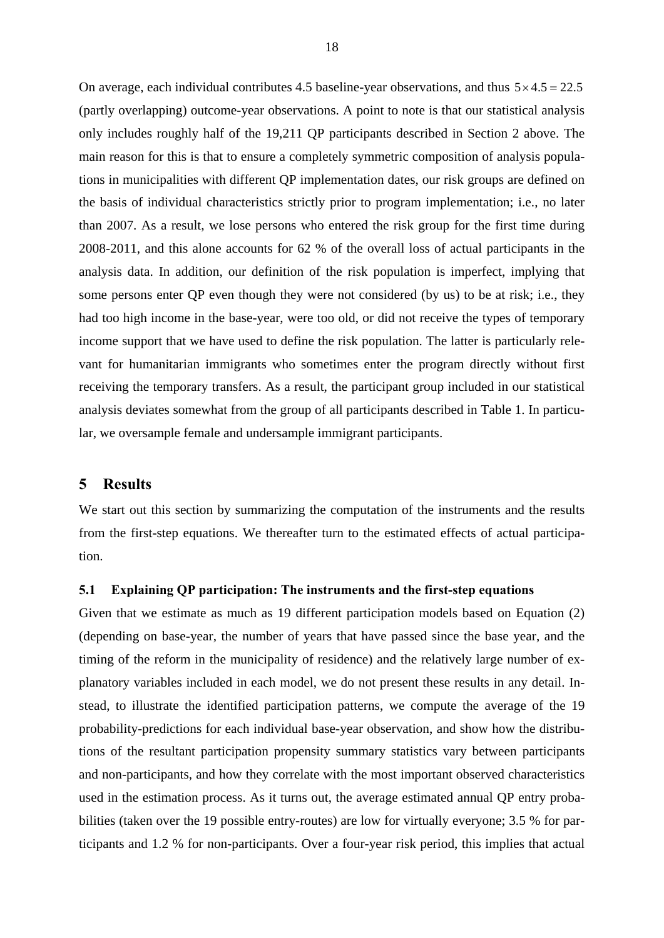On average, each individual contributes 4.5 baseline-year observations, and thus  $5 \times 4.5 = 22.5$ (partly overlapping) outcome-year observations. A point to note is that our statistical analysis only includes roughly half of the 19,211 QP participants described in Section 2 above. The main reason for this is that to ensure a completely symmetric composition of analysis populations in municipalities with different QP implementation dates, our risk groups are defined on the basis of individual characteristics strictly prior to program implementation; i.e., no later than 2007. As a result, we lose persons who entered the risk group for the first time during 2008-2011, and this alone accounts for 62 % of the overall loss of actual participants in the analysis data. In addition, our definition of the risk population is imperfect, implying that some persons enter QP even though they were not considered (by us) to be at risk; i.e., they had too high income in the base-year, were too old, or did not receive the types of temporary income support that we have used to define the risk population. The latter is particularly relevant for humanitarian immigrants who sometimes enter the program directly without first receiving the temporary transfers. As a result, the participant group included in our statistical analysis deviates somewhat from the group of all participants described in Table 1. In particular, we oversample female and undersample immigrant participants.

#### **5 Results**

We start out this section by summarizing the computation of the instruments and the results from the first-step equations. We thereafter turn to the estimated effects of actual participation.

#### **5.1 Explaining QP participation: The instruments and the first-step equations**

Given that we estimate as much as 19 different participation models based on Equation (2) (depending on base-year, the number of years that have passed since the base year, and the timing of the reform in the municipality of residence) and the relatively large number of explanatory variables included in each model, we do not present these results in any detail. Instead, to illustrate the identified participation patterns, we compute the average of the 19 probability-predictions for each individual base-year observation, and show how the distributions of the resultant participation propensity summary statistics vary between participants and non-participants, and how they correlate with the most important observed characteristics used in the estimation process. As it turns out, the average estimated annual QP entry probabilities (taken over the 19 possible entry-routes) are low for virtually everyone; 3.5 % for participants and 1.2 % for non-participants. Over a four-year risk period, this implies that actual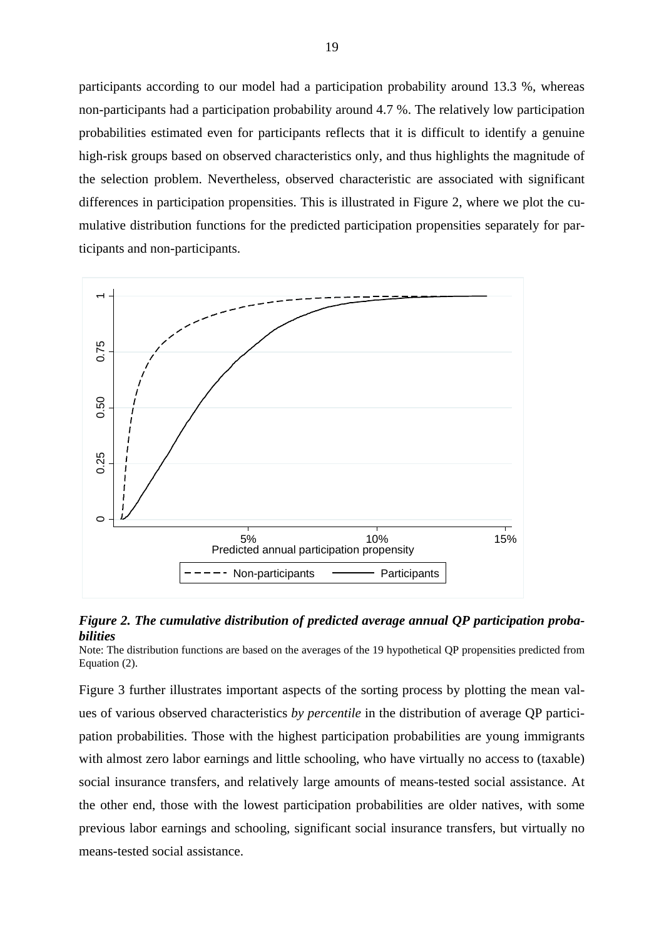participants according to our model had a participation probability around 13.3 %, whereas non-participants had a participation probability around 4.7 %. The relatively low participation probabilities estimated even for participants reflects that it is difficult to identify a genuine high-risk groups based on observed characteristics only, and thus highlights the magnitude of the selection problem. Nevertheless, observed characteristic are associated with significant differences in participation propensities. This is illustrated in Figure 2, where we plot the cumulative distribution functions for the predicted participation propensities separately for participants and non-participants.



#### *Figure 2. The cumulative distribution of predicted average annual QP participation probabilities*

Note: The distribution functions are based on the averages of the 19 hypothetical QP propensities predicted from Equation (2).

Figure 3 further illustrates important aspects of the sorting process by plotting the mean values of various observed characteristics *by percentile* in the distribution of average QP participation probabilities. Those with the highest participation probabilities are young immigrants with almost zero labor earnings and little schooling, who have virtually no access to (taxable) social insurance transfers, and relatively large amounts of means-tested social assistance. At the other end, those with the lowest participation probabilities are older natives, with some previous labor earnings and schooling, significant social insurance transfers, but virtually no means-tested social assistance.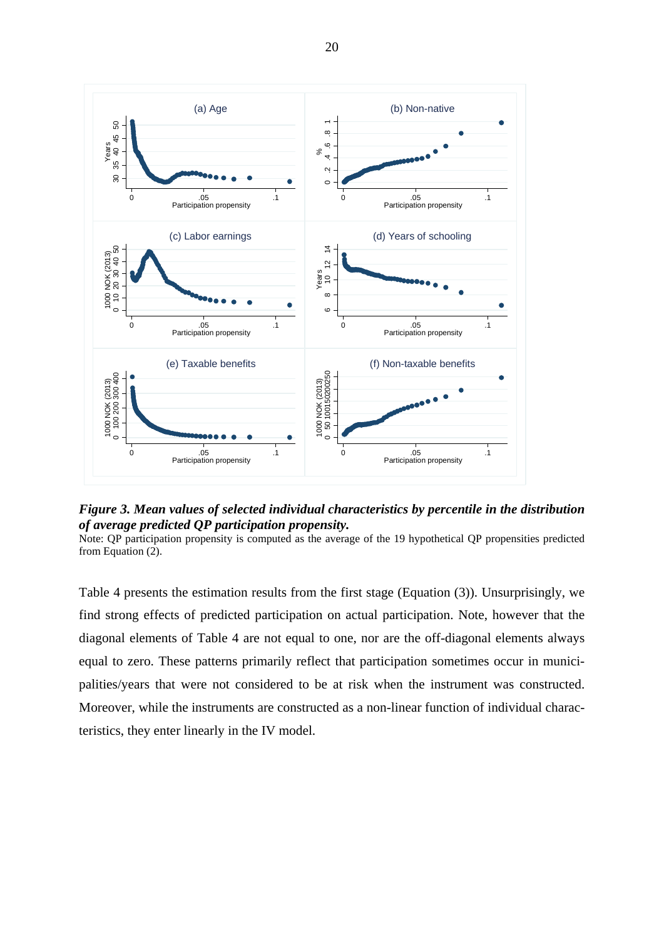

*Figure 3. Mean values of selected individual characteristics by percentile in the distribution of average predicted QP participation propensity.* 

Note: QP participation propensity is computed as the average of the 19 hypothetical QP propensities predicted from Equation (2).

Table 4 presents the estimation results from the first stage (Equation (3)). Unsurprisingly, we find strong effects of predicted participation on actual participation. Note, however that the diagonal elements of Table 4 are not equal to one, nor are the off-diagonal elements always equal to zero. These patterns primarily reflect that participation sometimes occur in municipalities/years that were not considered to be at risk when the instrument was constructed. Moreover, while the instruments are constructed as a non-linear function of individual charac-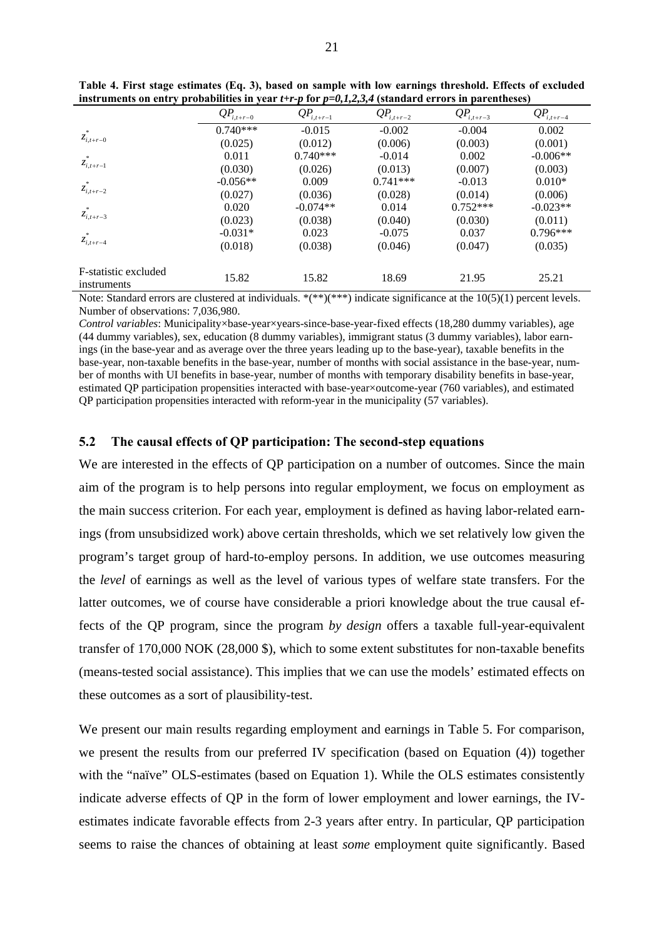|                                     | $QP_{i,t+r-0}$ | $QP_{i,t+r-1}$ | $QP_{i,t+r-2}$ | $QP_{i,t+r-3}$ | $QP_{i,t+r-4}$ |
|-------------------------------------|----------------|----------------|----------------|----------------|----------------|
|                                     | $0.740***$     | $-0.015$       | $-0.002$       | $-0.004$       | 0.002          |
| $z_{i,t+r-0}$                       | (0.025)        | (0.012)        | (0.006)        | (0.003)        | (0.001)        |
|                                     | 0.011          | $0.740***$     | $-0.014$       | 0.002          | $-0.006**$     |
| $\overline{z}_{i,t+r-1}$            | (0.030)        | (0.026)        | (0.013)        | (0.007)        | (0.003)        |
|                                     | $-0.056**$     | 0.009          | $0.741***$     | $-0.013$       | $0.010*$       |
| $z_{i,t+r-2}$                       | (0.027)        | (0.036)        | (0.028)        | (0.014)        | (0.006)        |
|                                     | 0.020          | $-0.074**$     | 0.014          | $0.752***$     | $-0.023**$     |
| $z_{i,t+r-3}$                       | (0.023)        | (0.038)        | (0.040)        | (0.030)        | (0.011)        |
|                                     | $-0.031*$      | 0.023          | $-0.075$       | 0.037          | $0.796***$     |
| $z_{i,t+r-4}$                       | (0.018)        | (0.038)        | (0.046)        | (0.047)        | (0.035)        |
| F-statistic excluded<br>instruments | 15.82          | 15.82          | 18.69          | 21.95          | 25.21          |

**Table 4. First stage estimates (Eq. 3), based on sample with low earnings threshold. Effects of excluded instruments on entry probabilities in year** *t+r-p* **for** *p=0,1,2,3,4* **(standard errors in parentheses)** 

Note: Standard errors are clustered at individuals. \*(\*\*)(\*\*\*) indicate significance at the 10(5)(1) percent levels. Number of observations: 7,036,980.

*Control variables*: Municipality×base-year×years-since-base-year-fixed effects (18,280 dummy variables), age (44 dummy variables), sex, education (8 dummy variables), immigrant status (3 dummy variables), labor earnings (in the base-year and as average over the three years leading up to the base-year), taxable benefits in the base-year, non-taxable benefits in the base-year, number of months with social assistance in the base-year, number of months with UI benefits in base-year, number of months with temporary disability benefits in base-year, estimated QP participation propensities interacted with base-year×outcome-year (760 variables), and estimated QP participation propensities interacted with reform-year in the municipality (57 variables).

#### **5.2 The causal effects of QP participation: The second-step equations**

We are interested in the effects of QP participation on a number of outcomes. Since the main aim of the program is to help persons into regular employment, we focus on employment as the main success criterion. For each year, employment is defined as having labor-related earnings (from unsubsidized work) above certain thresholds, which we set relatively low given the program's target group of hard-to-employ persons. In addition, we use outcomes measuring the *level* of earnings as well as the level of various types of welfare state transfers. For the latter outcomes, we of course have considerable a priori knowledge about the true causal effects of the QP program, since the program *by design* offers a taxable full-year-equivalent transfer of 170,000 NOK (28,000 \$), which to some extent substitutes for non-taxable benefits (means-tested social assistance). This implies that we can use the models' estimated effects on these outcomes as a sort of plausibility-test.

We present our main results regarding employment and earnings in Table 5. For comparison, we present the results from our preferred IV specification (based on Equation (4)) together with the "naïve" OLS-estimates (based on Equation 1). While the OLS estimates consistently indicate adverse effects of QP in the form of lower employment and lower earnings, the IVestimates indicate favorable effects from 2-3 years after entry. In particular, QP participation seems to raise the chances of obtaining at least *some* employment quite significantly. Based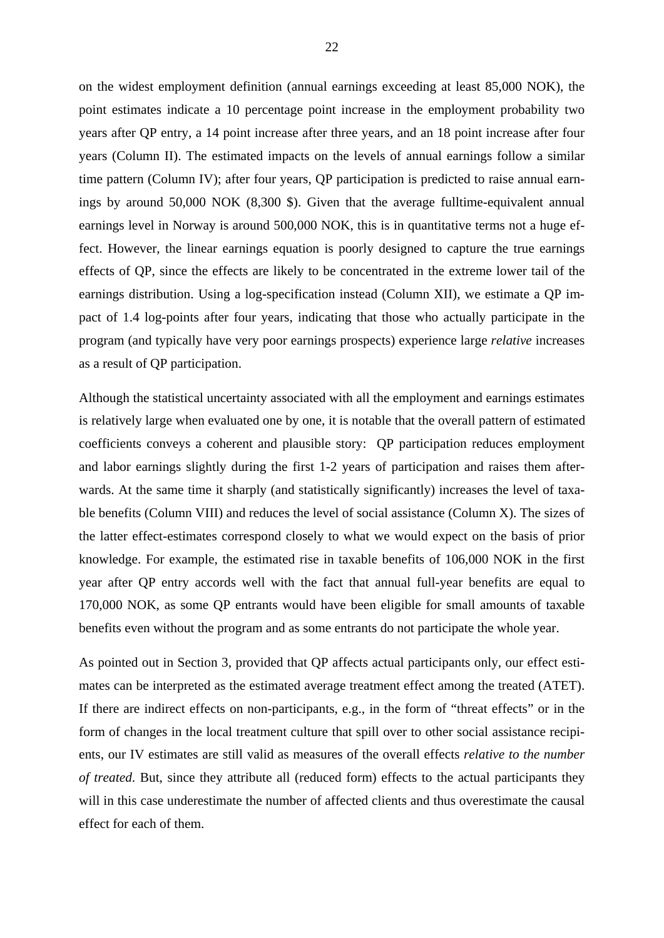on the widest employment definition (annual earnings exceeding at least 85,000 NOK), the point estimates indicate a 10 percentage point increase in the employment probability two years after QP entry, a 14 point increase after three years, and an 18 point increase after four years (Column II). The estimated impacts on the levels of annual earnings follow a similar time pattern (Column IV); after four years, QP participation is predicted to raise annual earnings by around 50,000 NOK (8,300 \$). Given that the average fulltime-equivalent annual earnings level in Norway is around 500,000 NOK, this is in quantitative terms not a huge effect. However, the linear earnings equation is poorly designed to capture the true earnings effects of QP, since the effects are likely to be concentrated in the extreme lower tail of the earnings distribution. Using a log-specification instead (Column XII), we estimate a QP impact of 1.4 log-points after four years, indicating that those who actually participate in the program (and typically have very poor earnings prospects) experience large *relative* increases as a result of QP participation.

Although the statistical uncertainty associated with all the employment and earnings estimates is relatively large when evaluated one by one, it is notable that the overall pattern of estimated coefficients conveys a coherent and plausible story: QP participation reduces employment and labor earnings slightly during the first 1-2 years of participation and raises them afterwards. At the same time it sharply (and statistically significantly) increases the level of taxable benefits (Column VIII) and reduces the level of social assistance (Column X). The sizes of the latter effect-estimates correspond closely to what we would expect on the basis of prior knowledge. For example, the estimated rise in taxable benefits of 106,000 NOK in the first year after QP entry accords well with the fact that annual full-year benefits are equal to 170,000 NOK, as some QP entrants would have been eligible for small amounts of taxable benefits even without the program and as some entrants do not participate the whole year.

As pointed out in Section 3, provided that QP affects actual participants only, our effect estimates can be interpreted as the estimated average treatment effect among the treated (ATET). If there are indirect effects on non-participants, e.g., in the form of "threat effects" or in the form of changes in the local treatment culture that spill over to other social assistance recipients, our IV estimates are still valid as measures of the overall effects *relative to the number of treated*. But, since they attribute all (reduced form) effects to the actual participants they will in this case underestimate the number of affected clients and thus overestimate the causal effect for each of them.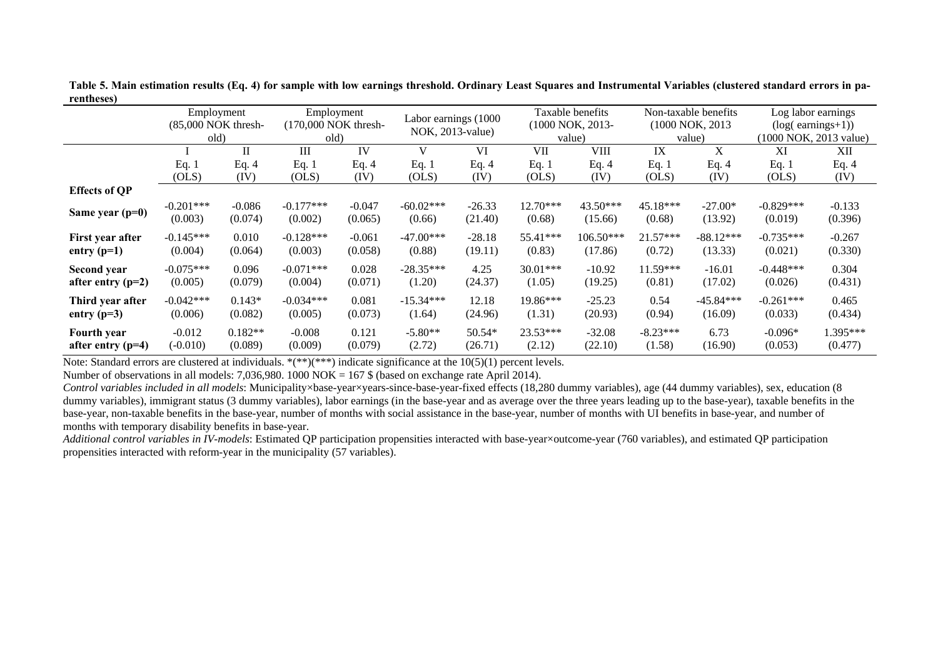|                      | Employment<br>(85,000 NOK thresh-<br>old) |           | Employment<br>(170,000 NOK thresh-<br>old) |          | Labor earnings (1000<br>NOK, 2013-value) |          |            | Taxable benefits<br>(1000 NOK, 2013-<br>value) |            | Non-taxable benefits<br>(1000 NOK, 2013)<br>value) | Log labor earnings<br>$(log(earnings+1))$<br>(1000 NOK, 2013 value) |          |
|----------------------|-------------------------------------------|-----------|--------------------------------------------|----------|------------------------------------------|----------|------------|------------------------------------------------|------------|----------------------------------------------------|---------------------------------------------------------------------|----------|
|                      |                                           | П         | Ш                                          | IV       | V                                        | VI       | VII        | VIII                                           | IX         | X                                                  | XI                                                                  | XII      |
|                      | Eq. $1$                                   | Eq. $4$   | Eq. $1$                                    | Eq. $4$  | Eq. $1$                                  | Eq. $4$  | Eq. $1$    | Eq. $4$                                        | Eq. 1      | Eq. $4$                                            | Eq. $1$                                                             | Eq. 4    |
|                      | (OLS)                                     | (IV)      | (OLS)                                      | (IV)     | (OLS)                                    | (IV)     | (OLS)      | (IV)                                           | (OLS)      | (IV)                                               | (OLS)                                                               | (IV)     |
| <b>Effects of QP</b> |                                           |           |                                            |          |                                          |          |            |                                                |            |                                                    |                                                                     |          |
| Same year $(p=0)$    | $-0.201***$                               | $-0.086$  | $-0.177***$                                | $-0.047$ | $-60.02***$                              | $-26.33$ | $12.70***$ | 43.50***                                       | 45.18***   | $-27.00*$                                          | $-0.829***$                                                         | $-0.133$ |
|                      | (0.003)                                   | (0.074)   | (0.002)                                    | (0.065)  | (0.66)                                   | (21.40)  | (0.68)     | (15.66)                                        | (0.68)     | (13.92)                                            | (0.019)                                                             | (0.396)  |
| First year after     | $-0.145***$                               | 0.010     | $-0.128***$                                | $-0.061$ | $-47.00***$                              | $-28.18$ | 55.41***   | $106.50***$                                    | $21.57***$ | $-88.12***$                                        | $-0.735***$                                                         | $-0.267$ |
| entry $(p=1)$        | (0.004)                                   | (0.064)   | (0.003)                                    | (0.058)  | (0.88)                                   | (19.11)  | (0.83)     | (17.86)                                        | (0.72)     | (13.33)                                            | (0.021)                                                             | (0.330)  |
| Second year          | $-0.075***$                               | 0.096     | $-0.071***$                                | 0.028    | $-28.35***$                              | 4.25     | $30.01***$ | $-10.92$                                       | 11.59***   | $-16.01$                                           | $-0.448***$                                                         | 0.304    |
| after entry $(p=2)$  | (0.005)                                   | (0.079)   | (0.004)                                    | (0.071)  | (1.20)                                   | (24.37)  | (1.05)     | (19.25)                                        | (0.81)     | (17.02)                                            | (0.026)                                                             | (0.431)  |
| Third year after     | $-0.042***$                               | $0.143*$  | $-0.034***$                                | 0.081    | $-15.34***$                              | 12.18    | $19.86***$ | $-25.23$                                       | 0.54       | $-45.84***$                                        | $-0.261***$                                                         | 0.465    |
| entry $(p=3)$        | (0.006)                                   | (0.082)   | (0.005)                                    | (0.073)  | (1.64)                                   | (24.96)  | (1.31)     | (20.93)                                        | (0.94)     | (16.09)                                            | (0.033)                                                             | (0.434)  |
| Fourth year          | $-0.012$                                  | $0.182**$ | $-0.008$                                   | 0.121    | $-5.80**$                                | 50.54*   | 23.53***   | $-32.08$                                       | $-8.23***$ | 6.73                                               | $-0.096*$                                                           | 1.395*** |
| after entry $(p=4)$  | $(-0.010)$                                | (0.089)   | (0.009)                                    | (0.079)  | (2.72)                                   | (26.71)  | (2.12)     | (22.10)                                        | (1.58)     | (16.90)                                            | (0.053)                                                             | (0.477)  |

**Table 5. Main estimation results (Eq. 4) for sample with low earnings threshold. Ordinary Least Squares and Instrumental Variables (clustered standard errors in parentheses)** 

Note: Standard errors are clustered at individuals.  $*(**)(***)$  indicate significance at the 10(5)(1) percent levels.

Number of observations in all models: 7,036,980. 1000 NOK = 167 \$ (based on exchange rate April 2014).

*Control variables included in all models*: Municipality×base-year×years-since-base-year-fixed effects (18,280 dummy variables), age (44 dummy variables), sex, education (8 dummy variables), immigrant status (3 dummy variables), labor earnings (in the base-year and as average over the three years leading up to the base-year), taxable benefits in the base-year, non-taxable benefits in the base-year, number of months with social assistance in the base-year, number of months with UI benefits in base-year, and number of months with temporary disability benefits in base-year.

*Additional control variables in IV-models*: Estimated OP participation propensities interacted with base-year×outcome-year (760 variables), and estimated OP participation propensities interacted with reform-year in the municipality (57 variables).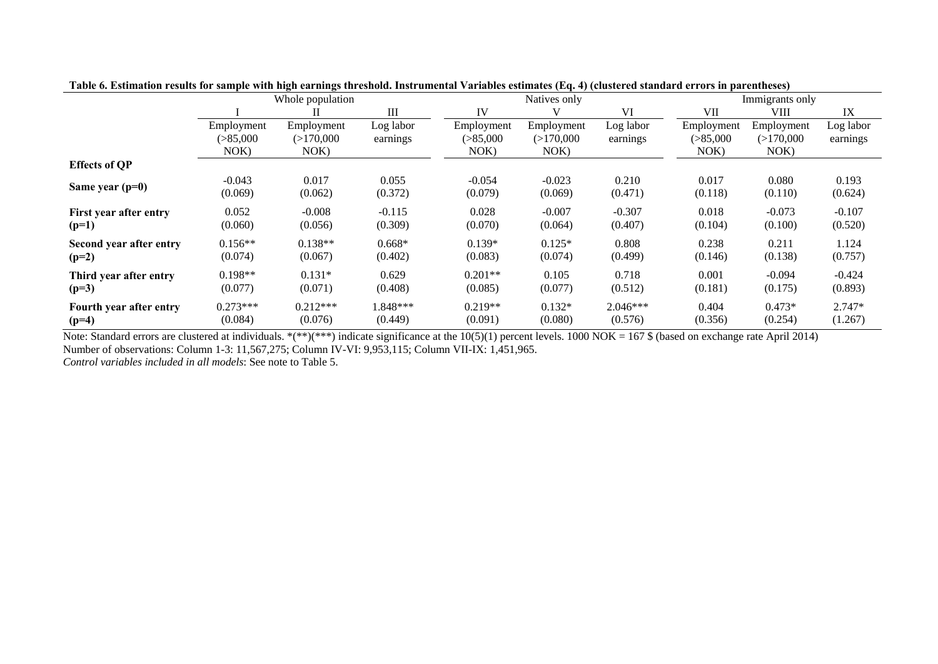|                         |                                  | $\cdots$<br>Whole population    |                       |                                 | $\cdots$ $\cdots$ $\cdots$<br>Natives only |                       |                                  | Immigrants only                 |                       |
|-------------------------|----------------------------------|---------------------------------|-----------------------|---------------------------------|--------------------------------------------|-----------------------|----------------------------------|---------------------------------|-----------------------|
|                         |                                  |                                 | Ш                     | IV                              |                                            | VI                    | VII                              | VIII                            | IX                    |
|                         | Employment<br>( > 85,000<br>NOK) | Employment<br>(>170,000<br>NOK) | Log labor<br>earnings | Employment<br>( > 85,000<br>NOK | Employment<br>(>170,000<br>NOK)            | Log labor<br>earnings | Employment<br>( > 85,000<br>NOK) | Employment<br>(>170,000<br>NOK) | Log labor<br>earnings |
| <b>Effects of OP</b>    |                                  |                                 |                       |                                 |                                            |                       |                                  |                                 |                       |
| Same year $(p=0)$       | $-0.043$                         | 0.017                           | 0.055                 | $-0.054$                        | $-0.023$                                   | 0.210                 | 0.017                            | 0.080                           | 0.193                 |
|                         | (0.069)                          | (0.062)                         | (0.372)               | (0.079)                         | (0.069)                                    | (0.471)               | (0.118)                          | (0.110)                         | (0.624)               |
| First year after entry  | 0.052                            | $-0.008$                        | $-0.115$              | 0.028                           | $-0.007$                                   | $-0.307$              | 0.018                            | $-0.073$                        | $-0.107$              |
| $(p=1)$                 | (0.060)                          | (0.056)                         | (0.309)               | (0.070)                         | (0.064)                                    | (0.407)               | (0.104)                          | (0.100)                         | (0.520)               |
| Second year after entry | $0.156**$                        | $0.138**$                       | $0.668*$              | $0.139*$                        | $0.125*$                                   | 0.808                 | 0.238                            | 0.211                           | 1.124                 |
| $(p=2)$                 | (0.074)                          | (0.067)                         | (0.402)               | (0.083)                         | (0.074)                                    | (0.499)               | (0.146)                          | (0.138)                         | (0.757)               |
| Third year after entry  | $0.198**$                        | $0.131*$                        | 0.629                 | $0.201**$                       | 0.105                                      | 0.718                 | 0.001                            | $-0.094$                        | $-0.424$              |
| $(p=3)$                 | (0.077)                          | (0.071)                         | (0.408)               | (0.085)                         | (0.077)                                    | (0.512)               | (0.181)                          | (0.175)                         | (0.893)               |
| Fourth year after entry | $0.273***$                       | $0.212***$                      | $.848***$             | $0.219**$                       | $0.132*$                                   | $2.046***$            | 0.404                            | $0.473*$                        | $2.747*$              |
| $(p=4)$                 | (0.084)                          | (0.076)                         | (0.449)               | (0.091)                         | (0.080)                                    | (0.576)               | (0.356)                          | (0.254)                         | (1.267)               |

**Table 6. Estimation results for sample with high earnings threshold. Instrumental Variables estimates (Eq. 4) (clustered standard errors in parentheses)** 

Note: Standard errors are clustered at individuals. \*(\*\*)(\*\*\*) indicate significance at the 10(5)(1) percent levels. 1000 NOK = 167 \$ (based on exchange rate April 2014) Number of observations: Column 1-3: 11,567,275; Column IV-VI: 9,953,115; Column VII-IX: 1,451,965.

*Control variables included in all models*: See note to Table 5.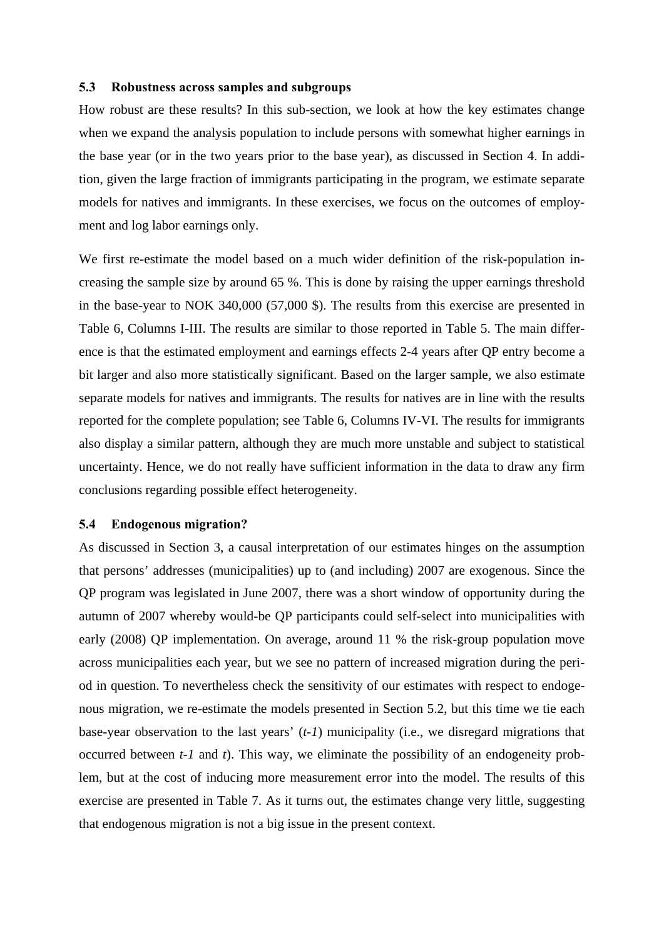#### **5.3 Robustness across samples and subgroups**

How robust are these results? In this sub-section, we look at how the key estimates change when we expand the analysis population to include persons with somewhat higher earnings in the base year (or in the two years prior to the base year), as discussed in Section 4. In addition, given the large fraction of immigrants participating in the program, we estimate separate models for natives and immigrants. In these exercises, we focus on the outcomes of employment and log labor earnings only.

We first re-estimate the model based on a much wider definition of the risk-population increasing the sample size by around 65 %. This is done by raising the upper earnings threshold in the base-year to NOK 340,000 (57,000 \$). The results from this exercise are presented in Table 6, Columns I-III. The results are similar to those reported in Table 5. The main difference is that the estimated employment and earnings effects 2-4 years after QP entry become a bit larger and also more statistically significant. Based on the larger sample, we also estimate separate models for natives and immigrants. The results for natives are in line with the results reported for the complete population; see Table 6, Columns IV-VI. The results for immigrants also display a similar pattern, although they are much more unstable and subject to statistical uncertainty. Hence, we do not really have sufficient information in the data to draw any firm conclusions regarding possible effect heterogeneity.

#### **5.4 Endogenous migration?**

As discussed in Section 3, a causal interpretation of our estimates hinges on the assumption that persons' addresses (municipalities) up to (and including) 2007 are exogenous. Since the QP program was legislated in June 2007, there was a short window of opportunity during the autumn of 2007 whereby would-be QP participants could self-select into municipalities with early (2008) QP implementation. On average, around 11 % the risk-group population move across municipalities each year, but we see no pattern of increased migration during the period in question. To nevertheless check the sensitivity of our estimates with respect to endogenous migration, we re-estimate the models presented in Section 5.2, but this time we tie each base-year observation to the last years' (*t-1*) municipality (i.e., we disregard migrations that occurred between *t-1* and *t*). This way, we eliminate the possibility of an endogeneity problem, but at the cost of inducing more measurement error into the model. The results of this exercise are presented in Table 7. As it turns out, the estimates change very little, suggesting that endogenous migration is not a big issue in the present context.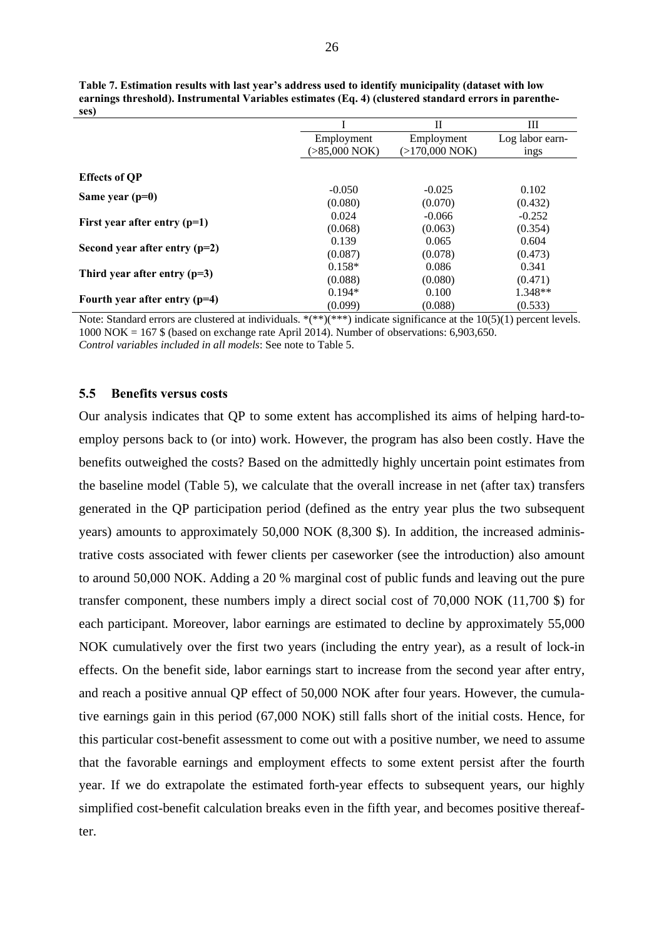|                                 |                 | Н              | Ш               |
|---------------------------------|-----------------|----------------|-----------------|
|                                 | Employment      | Employment     | Log labor earn- |
|                                 | $(>85,000$ NOK) | (>170,000 NOK) | ings            |
|                                 |                 |                |                 |
| <b>Effects of QP</b>            |                 |                |                 |
| Same year $(p=0)$               | $-0.050$        | $-0.025$       | 0.102           |
|                                 | (0.080)         | (0.070)        | (0.432)         |
| First year after entry $(p=1)$  | 0.024           | $-0.066$       | $-0.252$        |
|                                 | (0.068)         | (0.063)        | (0.354)         |
|                                 | 0.139           | 0.065          | 0.604           |
| Second year after entry $(p=2)$ | (0.087)         | (0.078)        | (0.473)         |
|                                 | $0.158*$        | 0.086          | 0.341           |
| Third year after entry $(p=3)$  | (0.088)         | (0.080)        | (0.471)         |
|                                 | $0.194*$        | 0.100          | 1.348**         |
| Fourth year after entry $(p=4)$ | (0.099)         | (0.088)        | (0.533)         |

| Table 7. Estimation results with last year's address used to identify municipality (dataset with low  |
|-------------------------------------------------------------------------------------------------------|
| earnings threshold). Instrumental Variables estimates (Eq. 4) (clustered standard errors in parenthe- |
| ses)                                                                                                  |

Note: Standard errors are clustered at individuals. \*(\*\*)(\*\*\*) indicate significance at the 10(5)(1) percent levels.  $1000 \text{ NOK} = 167 \text{ $$\mathcal{S}$}$  (based on exchange rate April 2014). Number of observations: 6,903,650. *Control variables included in all models*: See note to Table 5.

#### **5.5 Benefits versus costs**

Our analysis indicates that QP to some extent has accomplished its aims of helping hard-toemploy persons back to (or into) work. However, the program has also been costly. Have the benefits outweighed the costs? Based on the admittedly highly uncertain point estimates from the baseline model (Table 5), we calculate that the overall increase in net (after tax) transfers generated in the QP participation period (defined as the entry year plus the two subsequent years) amounts to approximately 50,000 NOK (8,300 \$). In addition, the increased administrative costs associated with fewer clients per caseworker (see the introduction) also amount to around 50,000 NOK. Adding a 20 % marginal cost of public funds and leaving out the pure transfer component, these numbers imply a direct social cost of 70,000 NOK (11,700 \$) for each participant. Moreover, labor earnings are estimated to decline by approximately 55,000 NOK cumulatively over the first two years (including the entry year), as a result of lock-in effects. On the benefit side, labor earnings start to increase from the second year after entry, and reach a positive annual QP effect of 50,000 NOK after four years. However, the cumulative earnings gain in this period (67,000 NOK) still falls short of the initial costs. Hence, for this particular cost-benefit assessment to come out with a positive number, we need to assume that the favorable earnings and employment effects to some extent persist after the fourth year. If we do extrapolate the estimated forth-year effects to subsequent years, our highly simplified cost-benefit calculation breaks even in the fifth year, and becomes positive thereafter.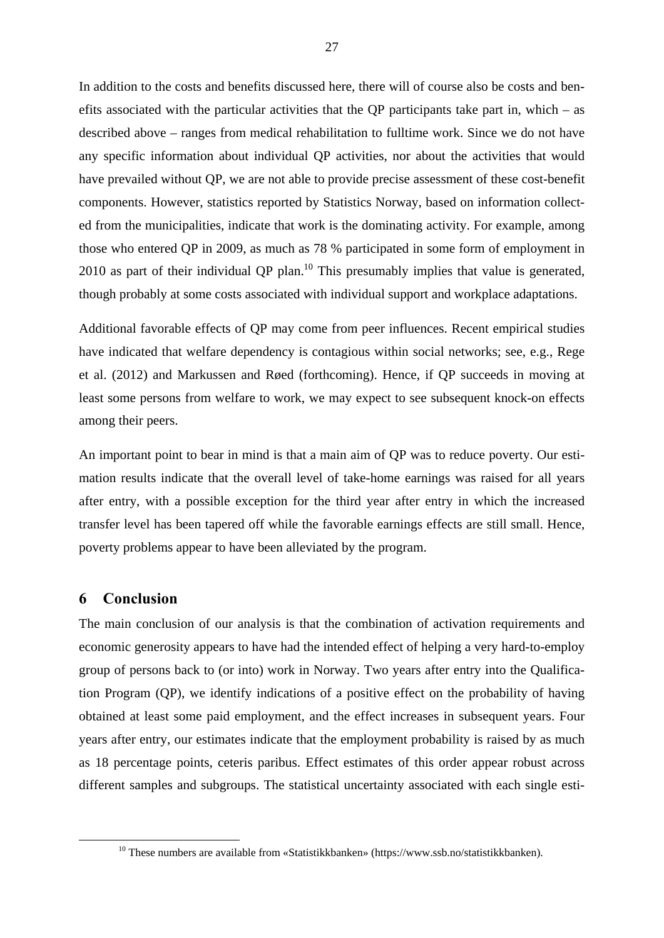In addition to the costs and benefits discussed here, there will of course also be costs and benefits associated with the particular activities that the OP participants take part in, which  $-$  as described above – ranges from medical rehabilitation to fulltime work. Since we do not have any specific information about individual QP activities, nor about the activities that would have prevailed without QP, we are not able to provide precise assessment of these cost-benefit components. However, statistics reported by Statistics Norway, based on information collected from the municipalities, indicate that work is the dominating activity. For example, among those who entered QP in 2009, as much as 78 % participated in some form of employment in  $2010$  as part of their individual QP plan.<sup>10</sup> This presumably implies that value is generated, though probably at some costs associated with individual support and workplace adaptations.

Additional favorable effects of QP may come from peer influences. Recent empirical studies have indicated that welfare dependency is contagious within social networks; see, e.g., Rege et al. (2012) and Markussen and Røed (forthcoming). Hence, if QP succeeds in moving at least some persons from welfare to work, we may expect to see subsequent knock-on effects among their peers.

An important point to bear in mind is that a main aim of QP was to reduce poverty. Our estimation results indicate that the overall level of take-home earnings was raised for all years after entry, with a possible exception for the third year after entry in which the increased transfer level has been tapered off while the favorable earnings effects are still small. Hence, poverty problems appear to have been alleviated by the program.

#### **6 Conclusion**

The main conclusion of our analysis is that the combination of activation requirements and economic generosity appears to have had the intended effect of helping a very hard-to-employ group of persons back to (or into) work in Norway. Two years after entry into the Qualification Program (QP), we identify indications of a positive effect on the probability of having obtained at least some paid employment, and the effect increases in subsequent years. Four years after entry, our estimates indicate that the employment probability is raised by as much as 18 percentage points, ceteris paribus. Effect estimates of this order appear robust across different samples and subgroups. The statistical uncertainty associated with each single esti-

 <sup>10</sup> These numbers are available from «Statistikkbanken» (https://www.ssb.no/statistikkbanken).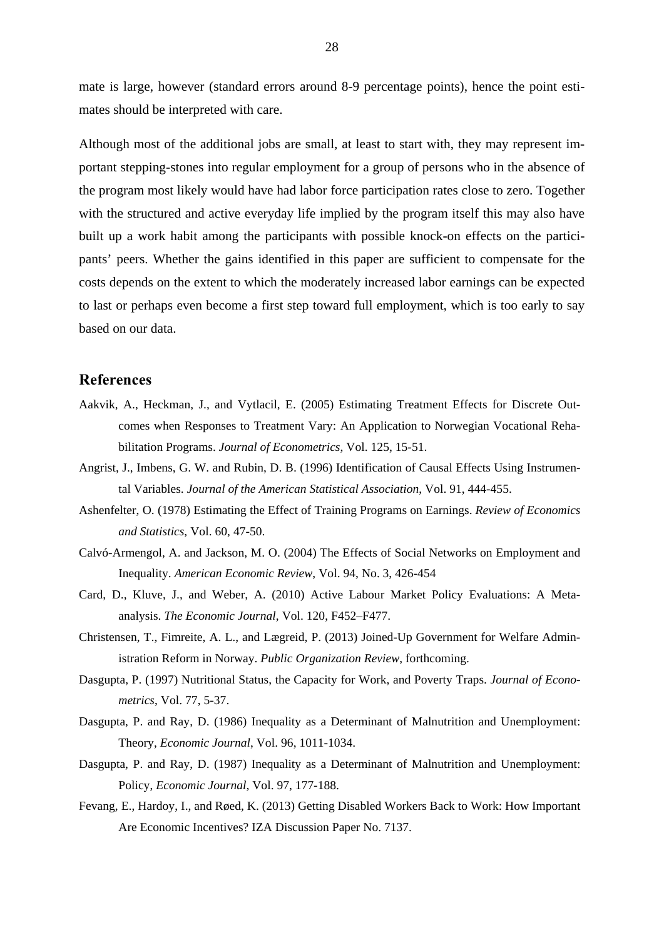mate is large, however (standard errors around 8-9 percentage points), hence the point estimates should be interpreted with care.

Although most of the additional jobs are small, at least to start with, they may represent important stepping-stones into regular employment for a group of persons who in the absence of the program most likely would have had labor force participation rates close to zero. Together with the structured and active everyday life implied by the program itself this may also have built up a work habit among the participants with possible knock-on effects on the participants' peers. Whether the gains identified in this paper are sufficient to compensate for the costs depends on the extent to which the moderately increased labor earnings can be expected to last or perhaps even become a first step toward full employment, which is too early to say based on our data.

#### **References**

- Aakvik, A., Heckman, J., and Vytlacil, E. (2005) Estimating Treatment Effects for Discrete Outcomes when Responses to Treatment Vary: An Application to Norwegian Vocational Rehabilitation Programs. *Journal of Econometrics*, Vol. 125, 15-51.
- Angrist, J., Imbens, G. W. and Rubin, D. B. (1996) Identification of Causal Effects Using Instrumental Variables. *Journal of the American Statistical Association*, Vol. 91, 444-455.
- Ashenfelter, O. (1978) Estimating the Effect of Training Programs on Earnings. *Review of Economics and Statistics*, Vol. 60, 47-50.
- Calvó-Armengol, A. and Jackson, M. O. (2004) The Effects of Social Networks on Employment and Inequality. *American Economic Review*, Vol. 94, No. 3, 426-454
- Card, D., Kluve, J., and Weber, A. (2010) Active Labour Market Policy Evaluations: A Metaanalysis. *The Economic Journal*, Vol. 120, F452–F477.
- Christensen, T., Fimreite, A. L., and Lægreid, P. (2013) Joined-Up Government for Welfare Administration Reform in Norway. *Public Organization Review*, forthcoming.
- Dasgupta, P. (1997) Nutritional Status, the Capacity for Work, and Poverty Traps. *Journal of Econometrics*, Vol. 77, 5-37.
- Dasgupta, P. and Ray, D. (1986) Inequality as a Determinant of Malnutrition and Unemployment: Theory, *Economic Journal*, Vol. 96, 1011-1034.
- Dasgupta, P. and Ray, D. (1987) Inequality as a Determinant of Malnutrition and Unemployment: Policy, *Economic Journal*, Vol. 97, 177-188.
- Fevang, E., Hardoy, I., and Røed, K. (2013) Getting Disabled Workers Back to Work: How Important Are Economic Incentives? IZA Discussion Paper No. 7137.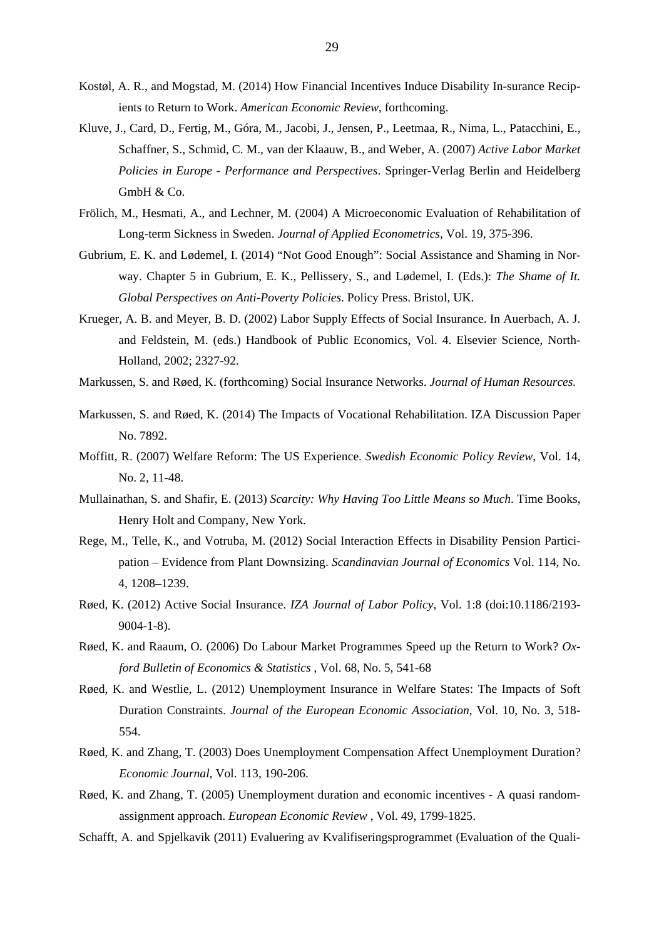- Kostøl, A. R., and Mogstad, M. (2014) How Financial Incentives Induce Disability In-surance Recipients to Return to Work. *American Economic Review*, forthcoming.
- Kluve, J., Card, D., Fertig, M., Góra, M., Jacobi, J., Jensen, P., Leetmaa, R., Nima, L., Patacchini, E., Schaffner, S., Schmid, C. M., van der Klaauw, B., and Weber, A. (2007) *Active Labor Market Policies in Europe - Performance and Perspectives*. Springer-Verlag Berlin and Heidelberg GmbH & Co.
- Frölich, M., Hesmati, A., and Lechner, M. (2004) A Microeconomic Evaluation of Rehabilitation of Long-term Sickness in Sweden. *Journal of Applied Econometrics*, Vol. 19, 375-396.
- Gubrium, E. K. and Lødemel, I. (2014) "Not Good Enough": Social Assistance and Shaming in Norway. Chapter 5 in Gubrium, E. K., Pellissery, S., and Lødemel, I. (Eds.): *The Shame of It. Global Perspectives on Anti-Poverty Policies*. Policy Press. Bristol, UK.
- Krueger, A. B. and Meyer, B. D. (2002) Labor Supply Effects of Social Insurance. In Auerbach, A. J. and Feldstein, M. (eds.) Handbook of Public Economics, Vol. 4. Elsevier Science, North-Holland, 2002; 2327-92.
- Markussen, S. and Røed, K. (forthcoming) Social Insurance Networks. *Journal of Human Resources.*
- Markussen, S. and Røed, K. (2014) The Impacts of Vocational Rehabilitation. IZA Discussion Paper No. 7892.
- Moffitt, R. (2007) Welfare Reform: The US Experience. *Swedish Economic Policy Review*, Vol. 14, No. 2, 11-48.
- Mullainathan, S. and Shafir, E. (2013) *Scarcity: Why Having Too Little Means so Much*. Time Books, Henry Holt and Company, New York.
- Rege, M., Telle, K., and Votruba, M. (2012) Social Interaction Effects in Disability Pension Participation – Evidence from Plant Downsizing. *Scandinavian Journal of Economics* Vol. 114, No. 4, 1208–1239.
- Røed, K. (2012) Active Social Insurance. *IZA Journal of Labor Policy*, Vol. 1:8 (doi:10.1186/2193- 9004-1-8).
- Røed, K. and Raaum, O. (2006) Do Labour Market Programmes Speed up the Return to Work? *Oxford Bulletin of Economics & Statistics* , Vol. 68, No. 5, 541-68
- Røed, K. and Westlie, L. (2012) Unemployment Insurance in Welfare States: The Impacts of Soft Duration Constraints. *Journal of the European Economic Association*, Vol. 10, No. 3, 518- 554.
- Røed, K. and Zhang, T. (2003) Does Unemployment Compensation Affect Unemployment Duration? *Economic Journal*, Vol. 113, 190-206.
- Røed, K. and Zhang, T. (2005) Unemployment duration and economic incentives A quasi randomassignment approach. *European Economic Review* , Vol. 49, 1799-1825.
- Schafft, A. and Spjelkavik (2011) Evaluering av Kvalifiseringsprogrammet (Evaluation of the Quali-